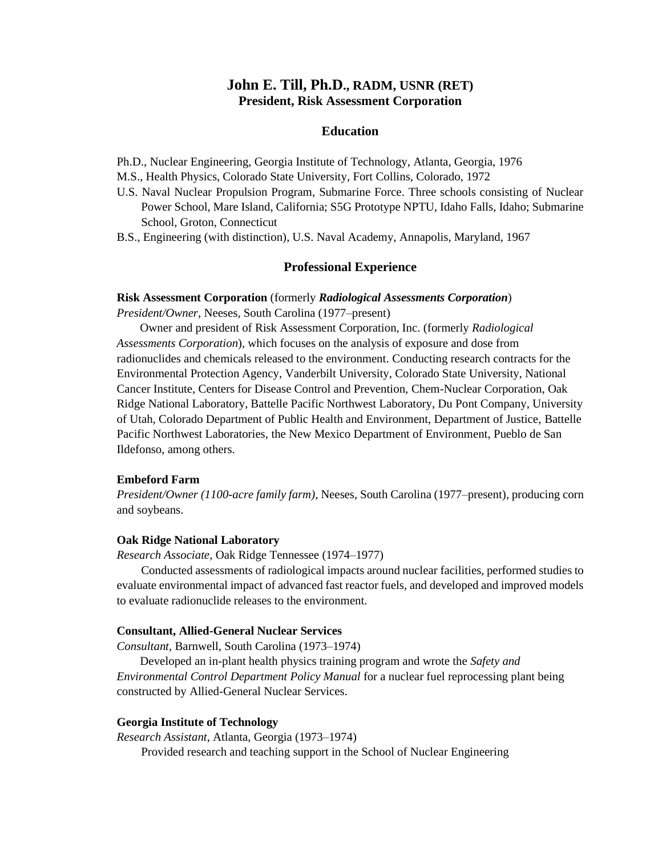# **John E. Till, Ph.D., RADM, USNR (RET) President, Risk Assessment Corporation**

### **Education**

Ph.D., Nuclear Engineering, Georgia Institute of Technology, Atlanta, Georgia, 1976

M.S., Health Physics, Colorado State University, Fort Collins, Colorado, 1972

- U.S. Naval Nuclear Propulsion Program, Submarine Force. Three schools consisting of Nuclear Power School, Mare Island, California; S5G Prototype NPTU, Idaho Falls, Idaho; Submarine School, Groton, Connecticut
- B.S., Engineering (with distinction), U.S. Naval Academy, Annapolis, Maryland, 1967

### **Professional Experience**

#### **Risk Assessment Corporation** (formerly *Radiological Assessments Corporation*)

*President/Owner*, Neeses, South Carolina (1977–present)

Owner and president of Risk Assessment Corporation, Inc. (formerly *Radiological Assessments Corporation*)*,* which focuses on the analysis of exposure and dose from radionuclides and chemicals released to the environment. Conducting research contracts for the Environmental Protection Agency, Vanderbilt University, Colorado State University, National Cancer Institute, Centers for Disease Control and Prevention, Chem-Nuclear Corporation, Oak Ridge National Laboratory, Battelle Pacific Northwest Laboratory, Du Pont Company, University of Utah, Colorado Department of Public Health and Environment, Department of Justice, Battelle Pacific Northwest Laboratories, the New Mexico Department of Environment, Pueblo de San Ildefonso, among others.

#### **Embeford Farm**

*President/Owner (1100-acre family farm),* Neeses, South Carolina (1977–present), producing corn and soybeans.

#### **Oak Ridge National Laboratory**

*Research Associate*, Oak Ridge Tennessee (1974–1977)

Conducted assessments of radiological impacts around nuclear facilities, performed studies to evaluate environmental impact of advanced fast reactor fuels, and developed and improved models to evaluate radionuclide releases to the environment.

#### **Consultant, Allied-General Nuclear Services**

*Consultant*, Barnwell, South Carolina (1973–1974)

Developed an in-plant health physics training program and wrote the *Safety and Environmental Control Department Policy Manual* for a nuclear fuel reprocessing plant being constructed by Allied-General Nuclear Services.

### **Georgia Institute of Technology**

*Research Assistant*, Atlanta, Georgia (1973–1974)

Provided research and teaching support in the School of Nuclear Engineering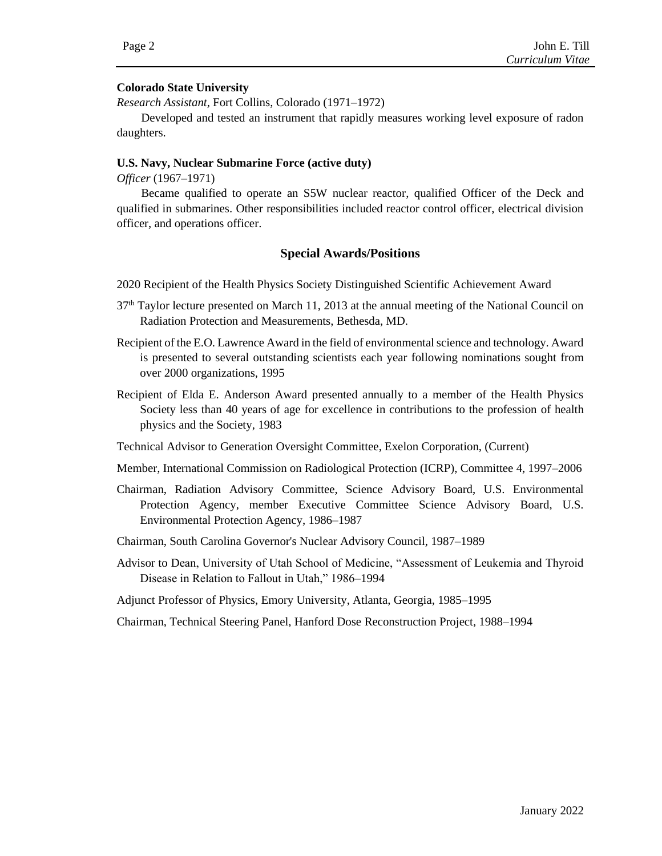## **Colorado State University**

*Research Assistant*, Fort Collins, Colorado (1971–1972)

Developed and tested an instrument that rapidly measures working level exposure of radon daughters.

## **U.S. Navy, Nuclear Submarine Force (active duty)**

*Officer* (1967–1971)

Became qualified to operate an S5W nuclear reactor, qualified Officer of the Deck and qualified in submarines. Other responsibilities included reactor control officer, electrical division officer, and operations officer.

## **Special Awards/Positions**

2020 Recipient of the Health Physics Society Distinguished Scientific Achievement Award

- 37th Taylor lecture presented on March 11, 2013 at the annual meeting of the National Council on Radiation Protection and Measurements, Bethesda, MD.
- Recipient of the E.O. Lawrence Award in the field of environmental science and technology. Award is presented to several outstanding scientists each year following nominations sought from over 2000 organizations, 1995
- Recipient of Elda E. Anderson Award presented annually to a member of the Health Physics Society less than 40 years of age for excellence in contributions to the profession of health physics and the Society, 1983
- Technical Advisor to Generation Oversight Committee, Exelon Corporation, (Current)
- Member, International Commission on Radiological Protection (ICRP), Committee 4, 1997–2006
- Chairman, Radiation Advisory Committee, Science Advisory Board, U.S. Environmental Protection Agency, member Executive Committee Science Advisory Board, U.S. Environmental Protection Agency, 1986–1987
- Chairman, South Carolina Governor's Nuclear Advisory Council, 1987–1989
- Advisor to Dean, University of Utah School of Medicine, "Assessment of Leukemia and Thyroid Disease in Relation to Fallout in Utah," 1986–1994

Adjunct Professor of Physics, Emory University, Atlanta, Georgia, 1985–1995

Chairman, Technical Steering Panel, Hanford Dose Reconstruction Project, 1988–1994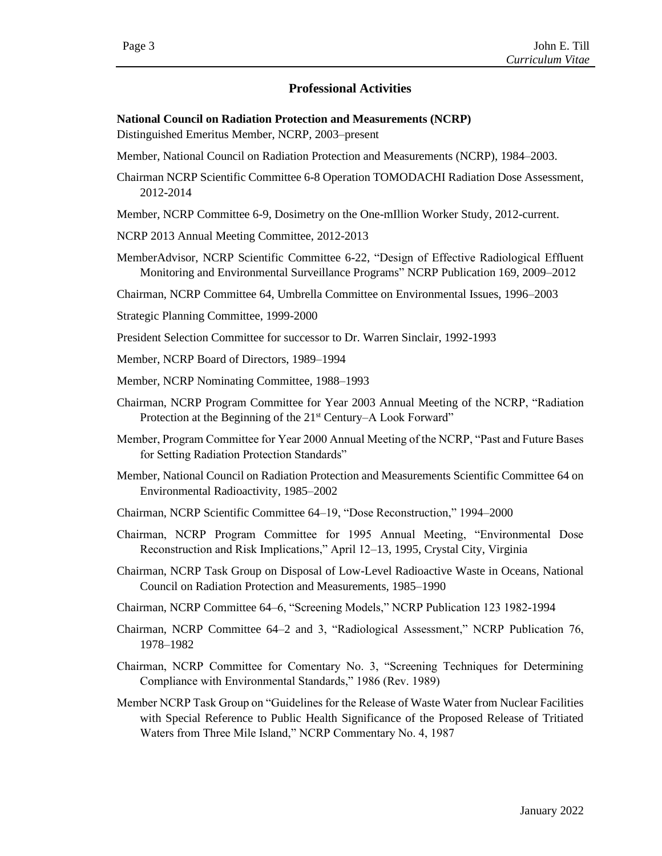## **Professional Activities**

**National Council on Radiation Protection and Measurements (NCRP)**

Distinguished Emeritus Member, NCRP, 2003–present

- Member, National Council on Radiation Protection and Measurements (NCRP), 1984–2003.
- Chairman NCRP Scientific Committee 6-8 Operation TOMODACHI Radiation Dose Assessment, 2012-2014
- Member, NCRP Committee 6-9, Dosimetry on the One-mIllion Worker Study, 2012-current.
- NCRP 2013 Annual Meeting Committee, 2012-2013
- MemberAdvisor, NCRP Scientific Committee 6-22, "Design of Effective Radiological Effluent Monitoring and Environmental Surveillance Programs" NCRP Publication 169, 2009–2012

Chairman, NCRP Committee 64, Umbrella Committee on Environmental Issues, 1996–2003

- Strategic Planning Committee, 1999-2000
- President Selection Committee for successor to Dr. Warren Sinclair, 1992-1993
- Member, NCRP Board of Directors, 1989–1994
- Member, NCRP Nominating Committee, 1988–1993
- Chairman, NCRP Program Committee for Year 2003 Annual Meeting of the NCRP, "Radiation Protection at the Beginning of the 21<sup>st</sup> Century–A Look Forward"
- Member, Program Committee for Year 2000 Annual Meeting of the NCRP, "Past and Future Bases for Setting Radiation Protection Standards"
- Member, National Council on Radiation Protection and Measurements Scientific Committee 64 on Environmental Radioactivity, 1985–2002
- Chairman, NCRP Scientific Committee 64–19, "Dose Reconstruction," 1994–2000
- Chairman, NCRP Program Committee for 1995 Annual Meeting, "Environmental Dose Reconstruction and Risk Implications," April 12–13, 1995, Crystal City, Virginia
- Chairman, NCRP Task Group on Disposal of Low-Level Radioactive Waste in Oceans, National Council on Radiation Protection and Measurements, 1985–1990
- Chairman, NCRP Committee 64–6, "Screening Models," NCRP Publication 123 1982-1994
- Chairman, NCRP Committee 64–2 and 3, "Radiological Assessment," NCRP Publication 76, 1978–1982
- Chairman, NCRP Committee for Comentary No. 3, "Screening Techniques for Determining Compliance with Environmental Standards," 1986 (Rev. 1989)
- Member NCRP Task Group on "Guidelines for the Release of Waste Water from Nuclear Facilities with Special Reference to Public Health Significance of the Proposed Release of Tritiated Waters from Three Mile Island," NCRP Commentary No. 4, 1987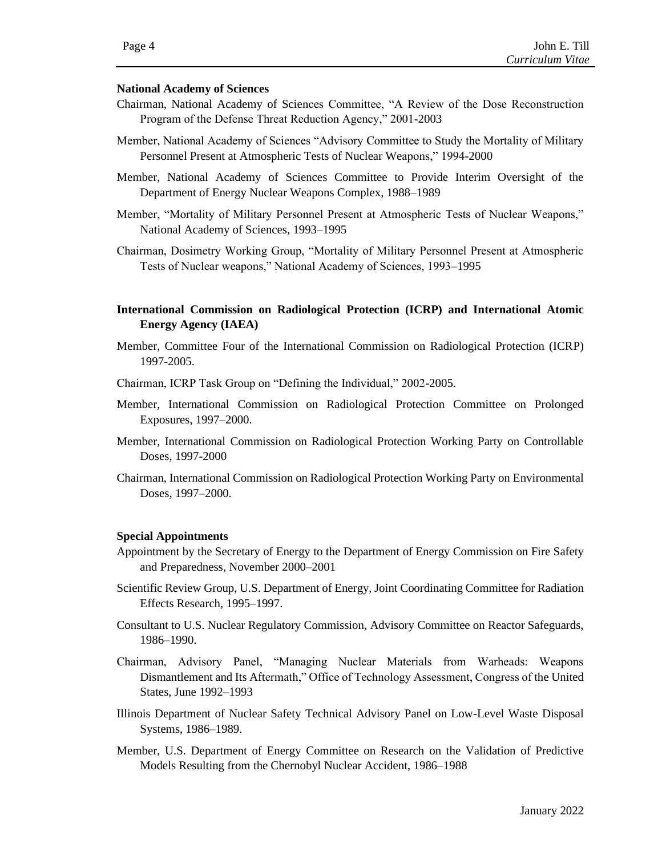### **National Academy of Sciences**

- Chairman, National Academy of Sciences Committee, "A Review of the Dose Reconstruction Program of the Defense Threat Reduction Agency," 2001-2003
- Member, National Academy of Sciences "Advisory Committee to Study the Mortality of Military Personnel Present at Atmospheric Tests of Nuclear Weapons," 1994-2000
- Member, National Academy of Sciences Committee to Provide Interim Oversight of the Department of Energy Nuclear Weapons Complex, 1988–1989
- Member, "Mortality of Military Personnel Present at Atmospheric Tests of Nuclear Weapons," National Academy of Sciences, 1993–1995
- Chairman, Dosimetry Working Group, "Mortality of Military Personnel Present at Atmospheric Tests of Nuclear weapons," National Academy of Sciences, 1993–1995

## **International Commission on Radiological Protection (ICRP) and International Atomic Energy Agency (IAEA)**

- Member, Committee Four of the International Commission on Radiological Protection (ICRP) 1997-2005.
- Chairman, ICRP Task Group on "Defining the Individual," 2002-2005.
- Member, International Commission on Radiological Protection Committee on Prolonged Exposures, 1997–2000.
- Member, International Commission on Radiological Protection Working Party on Controllable Doses, 1997-2000
- Chairman, International Commission on Radiological Protection Working Party on Environmental Doses, 1997–2000.

### **Special Appointments**

- Appointment by the Secretary of Energy to the Department of Energy Commission on Fire Safety and Preparedness, November 2000–2001
- Scientific Review Group, U.S. Department of Energy, Joint Coordinating Committee for Radiation Effects Research, 1995–1997.
- Consultant to U.S. Nuclear Regulatory Commission, Advisory Committee on Reactor Safeguards, 1986–1990.
- Chairman, Advisory Panel, "Managing Nuclear Materials from Warheads: Weapons Dismantlement and Its Aftermath," Office of Technology Assessment, Congress of the United States, June 1992–1993
- Illinois Department of Nuclear Safety Technical Advisory Panel on Low-Level Waste Disposal Systems, 1986–1989.
- Member, U.S. Department of Energy Committee on Research on the Validation of Predictive Models Resulting from the Chernobyl Nuclear Accident, 1986–1988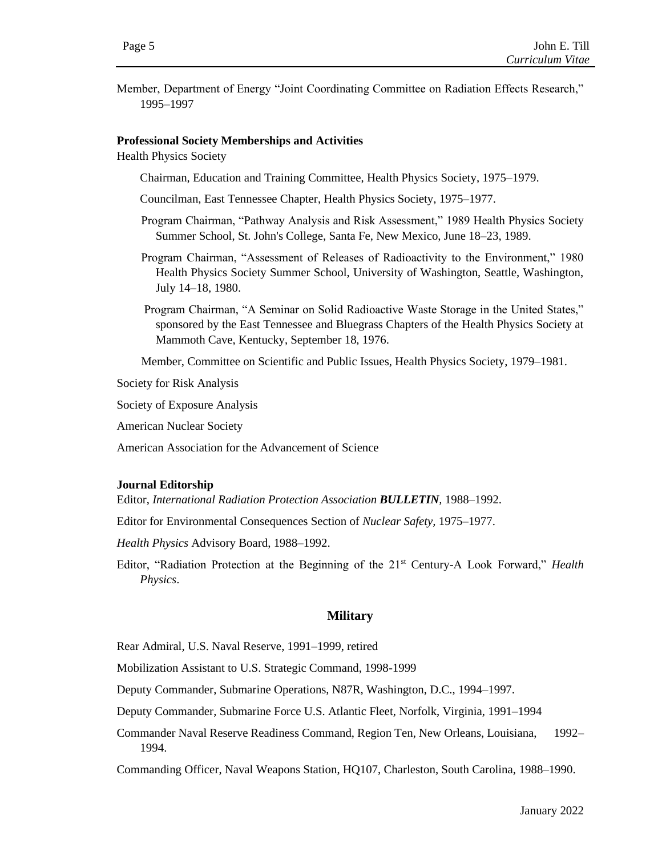Member, Department of Energy "Joint Coordinating Committee on Radiation Effects Research," 1995–1997

### **Professional Society Memberships and Activities**

Health Physics Society

Chairman, Education and Training Committee, Health Physics Society, 1975–1979.

Councilman, East Tennessee Chapter, Health Physics Society, 1975–1977.

- Program Chairman, "Pathway Analysis and Risk Assessment," 1989 Health Physics Society Summer School, St. John's College, Santa Fe, New Mexico, June 18–23, 1989.
- Program Chairman, "Assessment of Releases of Radioactivity to the Environment," 1980 Health Physics Society Summer School, University of Washington, Seattle, Washington, July 14–18, 1980.
- Program Chairman, "A Seminar on Solid Radioactive Waste Storage in the United States," sponsored by the East Tennessee and Bluegrass Chapters of the Health Physics Society at Mammoth Cave, Kentucky, September 18, 1976.

Member, Committee on Scientific and Public Issues, Health Physics Society, 1979–1981.

Society for Risk Analysis

Society of Exposure Analysis

American Nuclear Society

American Association for the Advancement of Science

#### **Journal Editorship**

Editor, *International Radiation Protection Association BULLETIN,* 1988–1992.

Editor for Environmental Consequences Section of *Nuclear Safety,* 1975–1977.

*Health Physics* Advisory Board, 1988–1992.

Editor, "Radiation Protection at the Beginning of the 21st Century-A Look Forward," *Health Physics*.

#### **Military**

Rear Admiral, U.S. Naval Reserve, 1991–1999, retired

Mobilization Assistant to U.S. Strategic Command, 1998-1999

Deputy Commander, Submarine Operations, N87R, Washington, D.C., 1994–1997.

Deputy Commander, Submarine Force U.S. Atlantic Fleet, Norfolk, Virginia, 1991–1994

Commander Naval Reserve Readiness Command, Region Ten, New Orleans, Louisiana, 1992– 1994.

Commanding Officer, Naval Weapons Station, HQ107, Charleston, South Carolina, 1988–1990.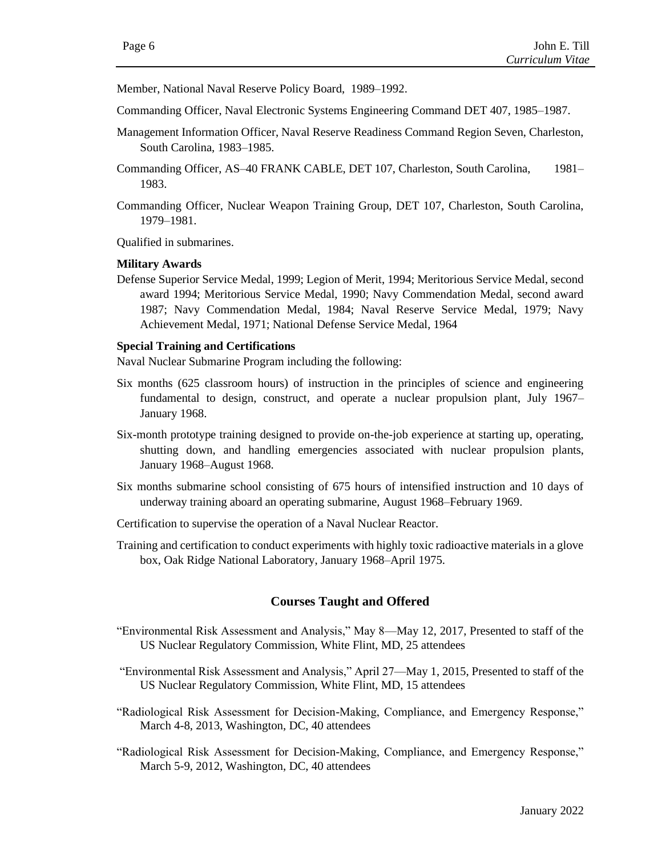Member, National Naval Reserve Policy Board, 1989–1992.

- Commanding Officer, Naval Electronic Systems Engineering Command DET 407, 1985–1987.
- Management Information Officer, Naval Reserve Readiness Command Region Seven, Charleston, South Carolina, 1983–1985.
- Commanding Officer, AS–40 FRANK CABLE, DET 107, Charleston, South Carolina, 1981– 1983.
- Commanding Officer, Nuclear Weapon Training Group, DET 107, Charleston, South Carolina, 1979–1981.

Qualified in submarines.

#### **Military Awards**

Defense Superior Service Medal, 1999; Legion of Merit, 1994; Meritorious Service Medal, second award 1994; Meritorious Service Medal, 1990; Navy Commendation Medal, second award 1987; Navy Commendation Medal, 1984; Naval Reserve Service Medal, 1979; Navy Achievement Medal, 1971; National Defense Service Medal, 1964

### **Special Training and Certifications**

Naval Nuclear Submarine Program including the following:

- Six months (625 classroom hours) of instruction in the principles of science and engineering fundamental to design, construct, and operate a nuclear propulsion plant, July 1967– January 1968.
- Six-month prototype training designed to provide on-the-job experience at starting up, operating, shutting down, and handling emergencies associated with nuclear propulsion plants, January 1968–August 1968.
- Six months submarine school consisting of 675 hours of intensified instruction and 10 days of underway training aboard an operating submarine, August 1968–February 1969.
- Certification to supervise the operation of a Naval Nuclear Reactor.
- Training and certification to conduct experiments with highly toxic radioactive materials in a glove box, Oak Ridge National Laboratory, January 1968–April 1975.

### **Courses Taught and Offered**

- "Environmental Risk Assessment and Analysis," May 8—May 12, 2017, Presented to staff of the US Nuclear Regulatory Commission, White Flint, MD, 25 attendees
- "Environmental Risk Assessment and Analysis," April 27—May 1, 2015, Presented to staff of the US Nuclear Regulatory Commission, White Flint, MD, 15 attendees
- "Radiological Risk Assessment for Decision-Making, Compliance, and Emergency Response," March 4-8, 2013, Washington, DC, 40 attendees
- "Radiological Risk Assessment for Decision-Making, Compliance, and Emergency Response," March 5-9, 2012, Washington, DC, 40 attendees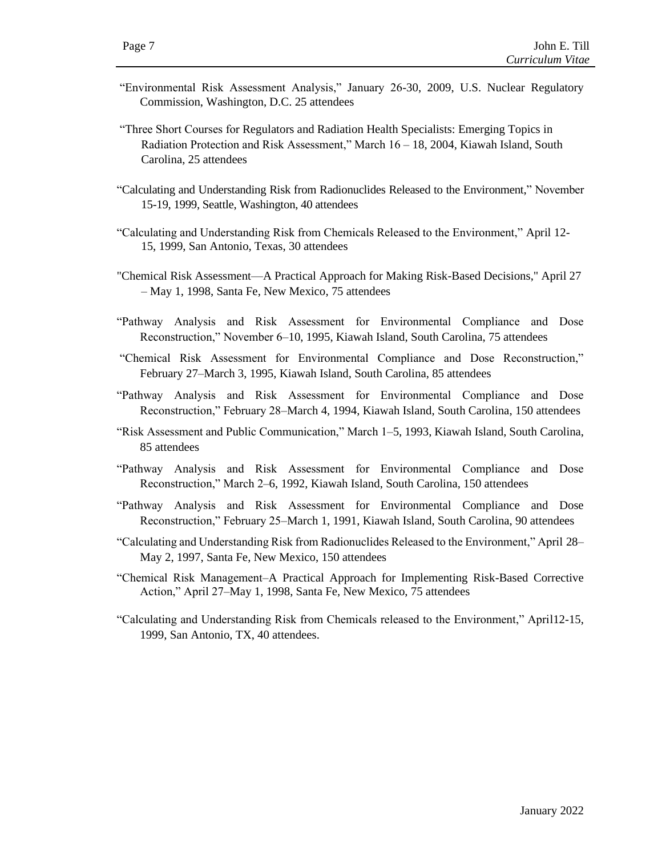- "Environmental Risk Assessment Analysis," January 26-30, 2009, U.S. Nuclear Regulatory Commission, Washington, D.C. 25 attendees
- "Three Short Courses for Regulators and Radiation Health Specialists: Emerging Topics in Radiation Protection and Risk Assessment," March 16 – 18, 2004, Kiawah Island, South Carolina, 25 attendees
- "Calculating and Understanding Risk from Radionuclides Released to the Environment," November 15-19, 1999, Seattle, Washington, 40 attendees
- "Calculating and Understanding Risk from Chemicals Released to the Environment," April 12- 15, 1999, San Antonio, Texas, 30 attendees
- "Chemical Risk Assessment—A Practical Approach for Making Risk-Based Decisions," April 27 – May 1, 1998, Santa Fe, New Mexico, 75 attendees
- "Pathway Analysis and Risk Assessment for Environmental Compliance and Dose Reconstruction," November 6–10, 1995, Kiawah Island, South Carolina, 75 attendees
- "Chemical Risk Assessment for Environmental Compliance and Dose Reconstruction," February 27–March 3, 1995, Kiawah Island, South Carolina, 85 attendees
- "Pathway Analysis and Risk Assessment for Environmental Compliance and Dose Reconstruction," February 28–March 4, 1994, Kiawah Island, South Carolina, 150 attendees
- "Risk Assessment and Public Communication," March 1–5, 1993, Kiawah Island, South Carolina, 85 attendees
- "Pathway Analysis and Risk Assessment for Environmental Compliance and Dose Reconstruction," March 2–6, 1992, Kiawah Island, South Carolina, 150 attendees
- "Pathway Analysis and Risk Assessment for Environmental Compliance and Dose Reconstruction," February 25–March 1, 1991, Kiawah Island, South Carolina, 90 attendees
- "Calculating and Understanding Risk from Radionuclides Released to the Environment," April 28– May 2, 1997, Santa Fe, New Mexico, 150 attendees
- "Chemical Risk Management–A Practical Approach for Implementing Risk-Based Corrective Action," April 27–May 1, 1998, Santa Fe, New Mexico, 75 attendees
- "Calculating and Understanding Risk from Chemicals released to the Environment," April12-15, 1999, San Antonio, TX, 40 attendees.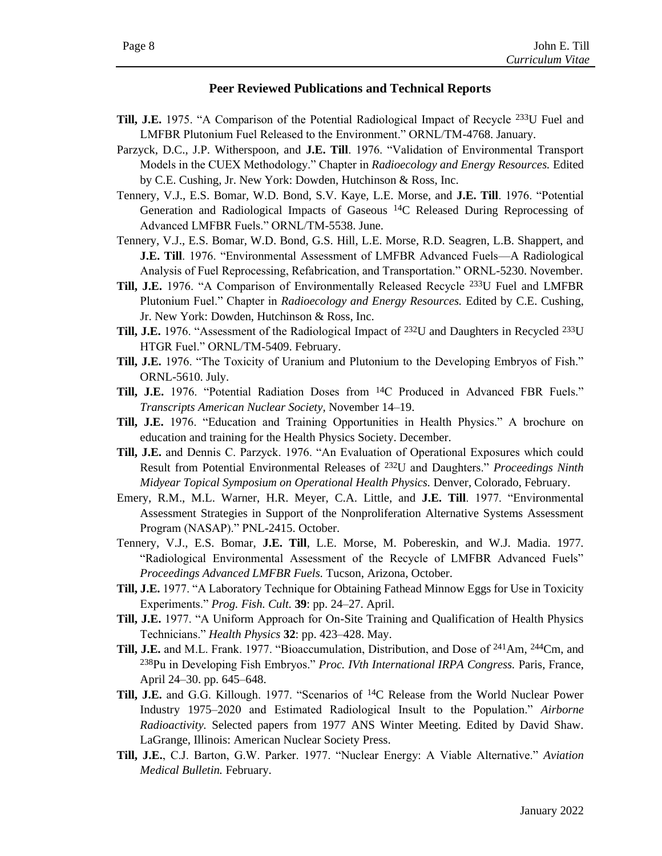## **Peer Reviewed Publications and Technical Reports**

- **Till, J.E.** 1975. "A Comparison of the Potential Radiological Impact of Recycle 233U Fuel and LMFBR Plutonium Fuel Released to the Environment." ORNL/TM-4768. January.
- Parzyck, D.C., J.P. Witherspoon, and **J.E. Till**. 1976. "Validation of Environmental Transport Models in the CUEX Methodology." Chapter in *Radioecology and Energy Resources.* Edited by C.E. Cushing, Jr. New York: Dowden, Hutchinson & Ross, Inc.
- Tennery, V.J., E.S. Bomar, W.D. Bond, S.V. Kaye, L.E. Morse, and **J.E. Till**. 1976. "Potential Generation and Radiological Impacts of Gaseous 14C Released During Reprocessing of Advanced LMFBR Fuels." ORNL/TM-5538. June.
- Tennery, V.J., E.S. Bomar, W.D. Bond, G.S. Hill, L.E. Morse, R.D. Seagren, L.B. Shappert, and **J.E. Till**. 1976. "Environmental Assessment of LMFBR Advanced Fuels—A Radiological Analysis of Fuel Reprocessing, Refabrication, and Transportation." ORNL-5230. November.
- **Till, J.E.** 1976. "A Comparison of Environmentally Released Recycle 233U Fuel and LMFBR Plutonium Fuel." Chapter in *Radioecology and Energy Resources.* Edited by C.E. Cushing, Jr. New York: Dowden, Hutchinson & Ross, Inc.
- **Till, J.E.** 1976. "Assessment of the Radiological Impact of <sup>232</sup>U and Daughters in Recycled <sup>233</sup>U HTGR Fuel." ORNL/TM-5409. February.
- **Till, J.E.** 1976. "The Toxicity of Uranium and Plutonium to the Developing Embryos of Fish." ORNL-5610. July.
- **Till, J.E.** 1976. "Potential Radiation Doses from 14C Produced in Advanced FBR Fuels." *Transcripts American Nuclear Society,* November 14–19.
- **Till, J.E.** 1976. "Education and Training Opportunities in Health Physics." A brochure on education and training for the Health Physics Society. December.
- **Till, J.E.** and Dennis C. Parzyck. 1976. "An Evaluation of Operational Exposures which could Result from Potential Environmental Releases of 232U and Daughters." *Proceedings Ninth Midyear Topical Symposium on Operational Health Physics.* Denver, Colorado, February.
- Emery, R.M., M.L. Warner, H.R. Meyer, C.A. Little, and **J.E. Till**. 1977. "Environmental Assessment Strategies in Support of the Nonproliferation Alternative Systems Assessment Program (NASAP)." PNL-2415. October.
- Tennery, V.J., E.S. Bomar, **J.E. Till**, L.E. Morse, M. Pobereskin, and W.J. Madia. 1977. "Radiological Environmental Assessment of the Recycle of LMFBR Advanced Fuels" *Proceedings Advanced LMFBR Fuels.* Tucson, Arizona, October.
- **Till, J.E.** 1977. "A Laboratory Technique for Obtaining Fathead Minnow Eggs for Use in Toxicity Experiments." *Prog. Fish. Cult.* **39**: pp. 24–27. April.
- **Till, J.E.** 1977. "A Uniform Approach for On-Site Training and Qualification of Health Physics Technicians." *Health Physics* **32**: pp. 423–428. May.
- **Till, J.E.** and M.L. Frank. 1977. "Bioaccumulation, Distribution, and Dose of 241Am, 244Cm, and <sup>238</sup>Pu in Developing Fish Embryos." *Proc. IVth International IRPA Congress.* Paris, France, April 24–30. pp. 645–648.
- **Till, J.E.** and G.G. Killough. 1977. "Scenarios of 14C Release from the World Nuclear Power Industry 1975–2020 and Estimated Radiological Insult to the Population." *Airborne Radioactivity.* Selected papers from 1977 ANS Winter Meeting. Edited by David Shaw. LaGrange, Illinois: American Nuclear Society Press.
- **Till, J.E.**, C.J. Barton, G.W. Parker. 1977. "Nuclear Energy: A Viable Alternative." *Aviation Medical Bulletin.* February.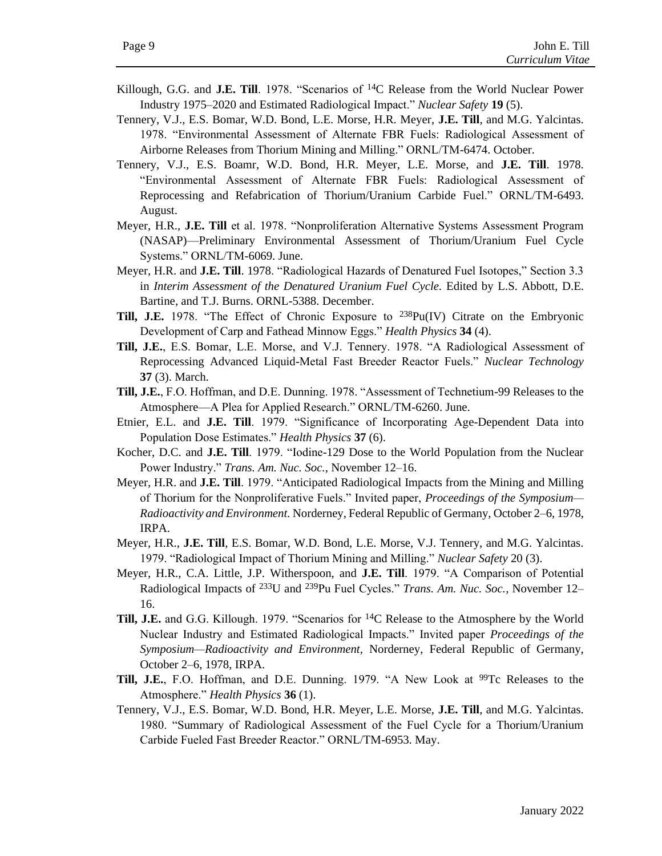- Killough, G.G. and **J.E. Till**. 1978. "Scenarios of 14C Release from the World Nuclear Power Industry 1975–2020 and Estimated Radiological Impact." *Nuclear Safety* **19** (5).
- Tennery, V.J., E.S. Bomar, W.D. Bond, L.E. Morse, H.R. Meyer, **J.E. Till**, and M.G. Yalcintas. 1978. "Environmental Assessment of Alternate FBR Fuels: Radiological Assessment of Airborne Releases from Thorium Mining and Milling." ORNL/TM-6474. October.
- Tennery, V.J., E.S. Boamr, W.D. Bond, H.R. Meyer, L.E. Morse, and **J.E. Till**. 1978. "Environmental Assessment of Alternate FBR Fuels: Radiological Assessment of Reprocessing and Refabrication of Thorium/Uranium Carbide Fuel." ORNL/TM-6493. August.
- Meyer, H.R., **J.E. Till** et al. 1978. "Nonproliferation Alternative Systems Assessment Program (NASAP)—Preliminary Environmental Assessment of Thorium/Uranium Fuel Cycle Systems." ORNL/TM-6069. June.
- Meyer, H.R. and **J.E. Till**. 1978. "Radiological Hazards of Denatured Fuel Isotopes," Section 3.3 in *Interim Assessment of the Denatured Uranium Fuel Cycle*. Edited by L.S. Abbott, D.E. Bartine, and T.J. Burns. ORNL-5388. December.
- **Till, J.E.** 1978. "The Effect of Chronic Exposure to 238Pu(IV) Citrate on the Embryonic Development of Carp and Fathead Minnow Eggs." *Health Physics* **34** (4).
- **Till, J.E.**, E.S. Bomar, L.E. Morse, and V.J. Tennery. 1978. "A Radiological Assessment of Reprocessing Advanced Liquid-Metal Fast Breeder Reactor Fuels." *Nuclear Technology* **37** (3). March.
- **Till, J.E.**, F.O. Hoffman, and D.E. Dunning. 1978. "Assessment of Technetium-99 Releases to the Atmosphere—A Plea for Applied Research." ORNL/TM-6260. June.
- Etnier, E.L. and **J.E. Till**. 1979. "Significance of Incorporating Age-Dependent Data into Population Dose Estimates." *Health Physics* **37** (6).
- Kocher, D.C. and **J.E. Till**. 1979. "Iodine-129 Dose to the World Population from the Nuclear Power Industry." *Trans. Am. Nuc. Soc.*, November 12–16.
- Meyer, H.R. and **J.E. Till**. 1979. "Anticipated Radiological Impacts from the Mining and Milling of Thorium for the Nonproliferative Fuels." Invited paper, *Proceedings of the Symposium— Radioactivity and Environment.* Norderney, Federal Republic of Germany, October 2–6, 1978, IRPA.
- Meyer, H.R., **J.E. Till**, E.S. Bomar, W.D. Bond, L.E. Morse, V.J. Tennery, and M.G. Yalcintas. 1979. "Radiological Impact of Thorium Mining and Milling." *Nuclear Safety* 20 (3).
- Meyer, H.R., C.A. Little, J.P. Witherspoon, and **J.E. Till**. 1979. "A Comparison of Potential Radiological Impacts of 233U and 239Pu Fuel Cycles." *Trans. Am. Nuc. Soc.*, November 12– 16.
- **Till, J.E.** and G.G. Killough. 1979. "Scenarios for 14C Release to the Atmosphere by the World Nuclear Industry and Estimated Radiological Impacts." Invited paper *Proceedings of the Symposium—Radioactivity and Environment,* Norderney, Federal Republic of Germany, October 2–6, 1978, IRPA.
- **Till, J.E.**, F.O. Hoffman, and D.E. Dunning. 1979. "A New Look at <sup>99</sup>Tc Releases to the Atmosphere." *Health Physics* **36** (1).
- Tennery, V.J., E.S. Bomar, W.D. Bond, H.R. Meyer, L.E. Morse, **J.E. Till**, and M.G. Yalcintas. 1980. "Summary of Radiological Assessment of the Fuel Cycle for a Thorium/Uranium Carbide Fueled Fast Breeder Reactor." ORNL/TM-6953. May.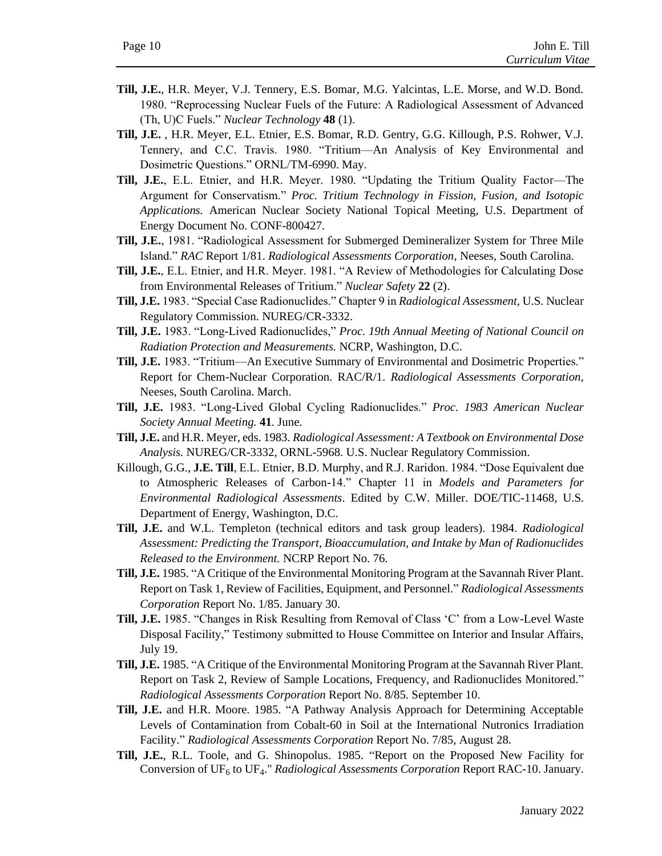- **Till, J.E.**, H.R. Meyer, V.J. Tennery, E.S. Bomar, M.G. Yalcintas, L.E. Morse, and W.D. Bond. 1980. "Reprocessing Nuclear Fuels of the Future: A Radiological Assessment of Advanced (Th, U)C Fuels." *Nuclear Technology* **48** (1).
- **Till, J.E.** , H.R. Meyer, E.L. Etnier, E.S. Bomar, R.D. Gentry, G.G. Killough, P.S. Rohwer, V.J. Tennery, and C.C. Travis. 1980. "Tritium—An Analysis of Key Environmental and Dosimetric Questions." ORNL/TM-6990. May.
- **Till, J.E.**, E.L. Etnier, and H.R. Meyer. 1980. "Updating the Tritium Quality Factor—The Argument for Conservatism." *Proc. Tritium Technology in Fission, Fusion, and Isotopic Applications.* American Nuclear Society National Topical Meeting, U.S. Department of Energy Document No. CONF-800427.
- **Till, J.E.**, 1981. "Radiological Assessment for Submerged Demineralizer System for Three Mile Island." *RAC* Report 1/81. *Radiological Assessments Corporation*, Neeses, South Carolina.
- **Till, J.E.**, E.L. Etnier, and H.R. Meyer. 1981. "A Review of Methodologies for Calculating Dose from Environmental Releases of Tritium." *Nuclear Safety* **22** (2).
- **Till, J.E.** 1983. "Special Case Radionuclides." Chapter 9 in *Radiological Assessment,* U.S. Nuclear Regulatory Commission. NUREG/CR-3332.
- **Till, J.E.** 1983. "Long-Lived Radionuclides," *Proc. 19th Annual Meeting of National Council on Radiation Protection and Measurements.* NCRP, Washington, D.C.
- **Till, J.E.** 1983. "Tritium—An Executive Summary of Environmental and Dosimetric Properties." Report for Chem-Nuclear Corporation. RAC/R/1. *Radiological Assessments Corporation*, Neeses, South Carolina. March.
- **Till, J.E.** 1983. "Long-Lived Global Cycling Radionuclides." *Proc. 1983 American Nuclear Society Annual Meeting.* **41**. June.
- **Till, J.E.** and H.R. Meyer, eds. 1983. *Radiological Assessment: A Textbook on Environmental Dose Analysis.* NUREG/CR-3332, ORNL-5968. U.S. Nuclear Regulatory Commission.
- Killough, G.G., **J.E. Till**, E.L. Etnier, B.D. Murphy, and R.J. Raridon. 1984. "Dose Equivalent due to Atmospheric Releases of Carbon-14." Chapter 11 in *Models and Parameters for Environmental Radiological Assessments*. Edited by C.W. Miller. DOE/TIC-11468, U.S. Department of Energy, Washington, D.C.
- **Till, J.E.** and W.L. Templeton (technical editors and task group leaders). 1984. *Radiological Assessment: Predicting the Transport, Bioaccumulation, and Intake by Man of Radionuclides Released to the Environment.* NCRP Report No. 76.
- **Till, J.E.** 1985. "A Critique of the Environmental Monitoring Program at the Savannah River Plant. Report on Task 1, Review of Facilities, Equipment, and Personnel." *Radiological Assessments Corporation* Report No. 1/85. January 30.
- **Till, J.E.** 1985. "Changes in Risk Resulting from Removal of Class 'C' from a Low-Level Waste Disposal Facility," Testimony submitted to House Committee on Interior and Insular Affairs, July 19.
- **Till, J.E.** 1985. "A Critique of the Environmental Monitoring Program at the Savannah River Plant. Report on Task 2, Review of Sample Locations, Frequency, and Radionuclides Monitored." *Radiological Assessments Corporation* Report No. 8/85. September 10.
- **Till, J.E.** and H.R. Moore. 1985. "A Pathway Analysis Approach for Determining Acceptable Levels of Contamination from Cobalt-60 in Soil at the International Nutronics Irradiation Facility." *Radiological Assessments Corporation* Report No. 7/85, August 28.
- **Till, J.E.**, R.L. Toole, and G. Shinopolus. 1985. "Report on the Proposed New Facility for Conversion of UF<sub>6</sub> to UF<sub>4</sub>." *Radiological Assessments Corporation* Report RAC-10. January.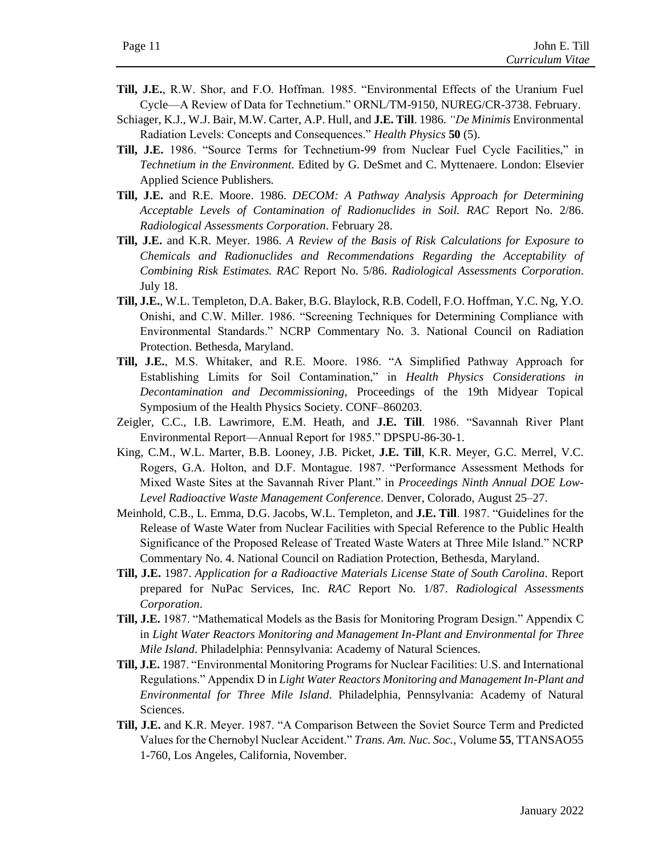- **Till, J.E.**, R.W. Shor, and F.O. Hoffman. 1985. "Environmental Effects of the Uranium Fuel Cycle—A Review of Data for Technetium." ORNL/TM-9150, NUREG/CR-3738. February.
- Schiager, K.J., W.J. Bair, M.W. Carter, A.P. Hull, and **J.E. Till**. 1986. *"De Minimis* Environmental Radiation Levels: Concepts and Consequences." *Health Physics* **50** (5).
- **Till, J.E.** 1986. "Source Terms for Technetium-99 from Nuclear Fuel Cycle Facilities," in *Technetium in the Environment.* Edited by G. DeSmet and C. Myttenaere. London: Elsevier Applied Science Publishers.
- **Till, J.E.** and R.E. Moore. 1986. *DECOM: A Pathway Analysis Approach for Determining Acceptable Levels of Contamination of Radionuclides in Soil. RAC* Report No. 2/86. *Radiological Assessments Corporation*. February 28.
- **Till, J.E.** and K.R. Meyer. 1986. *A Review of the Basis of Risk Calculations for Exposure to Chemicals and Radionuclides and Recommendations Regarding the Acceptability of Combining Risk Estimates. RAC* Report No. 5/86. *Radiological Assessments Corporation*. July 18.
- **Till, J.E.**, W.L. Templeton, D.A. Baker, B.G. Blaylock, R.B. Codell, F.O. Hoffman, Y.C. Ng, Y.O. Onishi, and C.W. Miller. 1986. "Screening Techniques for Determining Compliance with Environmental Standards." NCRP Commentary No. 3. National Council on Radiation Protection. Bethesda, Maryland.
- **Till, J.E.**, M.S. Whitaker, and R.E. Moore. 1986. "A Simplified Pathway Approach for Establishing Limits for Soil Contamination," in *Health Physics Considerations in Decontamination and Decommissioning,* Proceedings of the 19th Midyear Topical Symposium of the Health Physics Society. CONF–860203.
- Zeigler, C.C., I.B. Lawrimore, E.M. Heath, and **J.E. Till**. 1986. "Savannah River Plant Environmental Report—Annual Report for 1985." DPSPU-86-30-1.
- King, C.M., W.L. Marter, B.B. Looney, J.B. Picket, **J.E. Till**, K.R. Meyer, G.C. Merrel, V.C. Rogers, G.A. Holton, and D.F. Montague. 1987. "Performance Assessment Methods for Mixed Waste Sites at the Savannah River Plant." in *Proceedings Ninth Annual DOE Low-Level Radioactive Waste Management Conference*. Denver, Colorado, August 25–27.
- Meinhold, C.B., L. Emma, D.G. Jacobs, W.L. Templeton, and **J.E. Till**. 1987. "Guidelines for the Release of Waste Water from Nuclear Facilities with Special Reference to the Public Health Significance of the Proposed Release of Treated Waste Waters at Three Mile Island." NCRP Commentary No. 4. National Council on Radiation Protection, Bethesda, Maryland.
- **Till, J.E.** 1987. *Application for a Radioactive Materials License State of South Carolina*. Report prepared for NuPac Services, Inc. *RAC* Report No. 1/87. *Radiological Assessments Corporation*.
- **Till, J.E.** 1987. "Mathematical Models as the Basis for Monitoring Program Design." Appendix C in *Light Water Reactors Monitoring and Management In-Plant and Environmental for Three Mile Island*. Philadelphia: Pennsylvania: Academy of Natural Sciences.
- **Till, J.E.** 1987. "Environmental Monitoring Programs for Nuclear Facilities: U.S. and International Regulations." Appendix D in *Light Water Reactors Monitoring and Management In-Plant and Environmental for Three Mile Island*. Philadelphia, Pennsylvania: Academy of Natural Sciences.
- **Till, J.E.** and K.R. Meyer. 1987. "A Comparison Between the Soviet Source Term and Predicted Values for the Chernobyl Nuclear Accident." *Trans. Am. Nuc. Soc.*, Volume **55**, TTANSAO55 1-760, Los Angeles, California, November.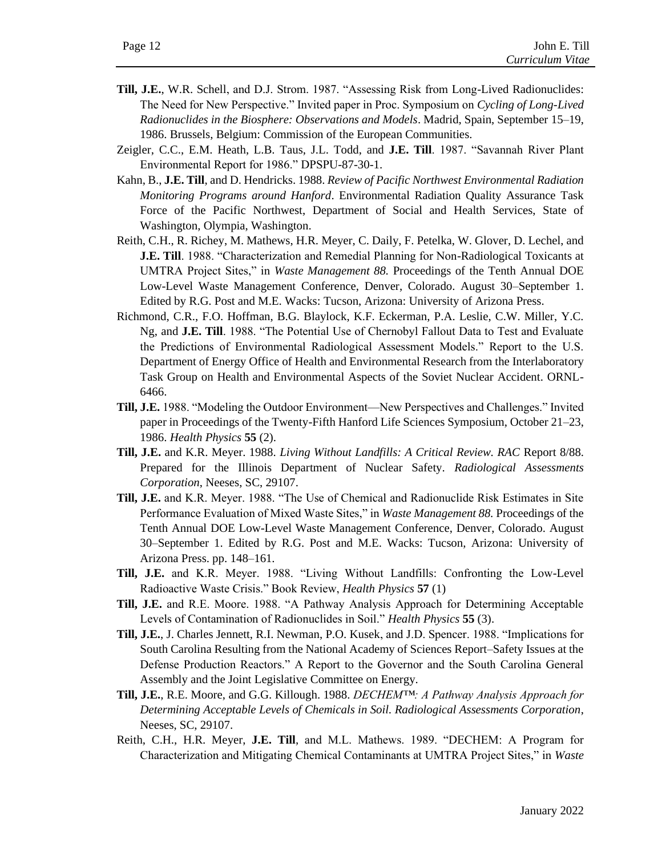- **Till, J.E.**, W.R. Schell, and D.J. Strom. 1987. "Assessing Risk from Long-Lived Radionuclides: The Need for New Perspective." Invited paper in Proc. Symposium on *Cycling of Long-Lived Radionuclides in the Biosphere: Observations and Models*. Madrid, Spain, September 15–19, 1986. Brussels, Belgium: Commission of the European Communities.
- Zeigler, C.C., E.M. Heath, L.B. Taus, J.L. Todd, and **J.E. Till**. 1987. "Savannah River Plant Environmental Report for 1986." DPSPU-87-30-1.
- Kahn, B., **J.E. Till**, and D. Hendricks. 1988. *Review of Pacific Northwest Environmental Radiation Monitoring Programs around Hanford*. Environmental Radiation Quality Assurance Task Force of the Pacific Northwest, Department of Social and Health Services, State of Washington, Olympia, Washington.
- Reith, C.H., R. Richey, M. Mathews, H.R. Meyer, C. Daily, F. Petelka, W. Glover, D. Lechel, and **J.E. Till**. 1988. "Characterization and Remedial Planning for Non-Radiological Toxicants at UMTRA Project Sites," in *Waste Management 88.* Proceedings of the Tenth Annual DOE Low-Level Waste Management Conference, Denver, Colorado. August 30–September 1. Edited by R.G. Post and M.E. Wacks: Tucson, Arizona: University of Arizona Press.
- Richmond, C.R., F.O. Hoffman, B.G. Blaylock, K.F. Eckerman, P.A. Leslie, C.W. Miller, Y.C. Ng, and **J.E. Till**. 1988. "The Potential Use of Chernobyl Fallout Data to Test and Evaluate the Predictions of Environmental Radiological Assessment Models." Report to the U.S. Department of Energy Office of Health and Environmental Research from the Interlaboratory Task Group on Health and Environmental Aspects of the Soviet Nuclear Accident. ORNL-6466.
- **Till, J.E.** 1988. "Modeling the Outdoor Environment—New Perspectives and Challenges." Invited paper in Proceedings of the Twenty-Fifth Hanford Life Sciences Symposium, October 21–23, 1986. *Health Physics* **55** (2).
- **Till, J.E.** and K.R. Meyer. 1988. *Living Without Landfills: A Critical Review. RAC* Report 8/88. Prepared for the Illinois Department of Nuclear Safety. *Radiological Assessments Corporation*, Neeses, SC, 29107.
- **Till, J.E.** and K.R. Meyer. 1988. "The Use of Chemical and Radionuclide Risk Estimates in Site Performance Evaluation of Mixed Waste Sites," in *Waste Management 88.* Proceedings of the Tenth Annual DOE Low-Level Waste Management Conference, Denver, Colorado. August 30–September 1. Edited by R.G. Post and M.E. Wacks: Tucson, Arizona: University of Arizona Press. pp. 148–161.
- **Till, J.E.** and K.R. Meyer. 1988. "Living Without Landfills: Confronting the Low-Level Radioactive Waste Crisis." Book Review, *Health Physics* **57** (1)
- **Till, J.E.** and R.E. Moore. 1988. "A Pathway Analysis Approach for Determining Acceptable Levels of Contamination of Radionuclides in Soil." *Health Physics* **55** (3).
- **Till, J.E.**, J. Charles Jennett, R.I. Newman, P.O. Kusek, and J.D. Spencer. 1988. "Implications for South Carolina Resulting from the National Academy of Sciences Report–Safety Issues at the Defense Production Reactors." A Report to the Governor and the South Carolina General Assembly and the Joint Legislative Committee on Energy.
- **Till, J.E.**, R.E. Moore, and G.G. Killough. 1988. *DECHEM™: A Pathway Analysis Approach for Determining Acceptable Levels of Chemicals in Soil. Radiological Assessments Corporation*, Neeses, SC, 29107.
- Reith, C.H., H.R. Meyer, **J.E. Till**, and M.L. Mathews. 1989. "DECHEM: A Program for Characterization and Mitigating Chemical Contaminants at UMTRA Project Sites," in *Waste*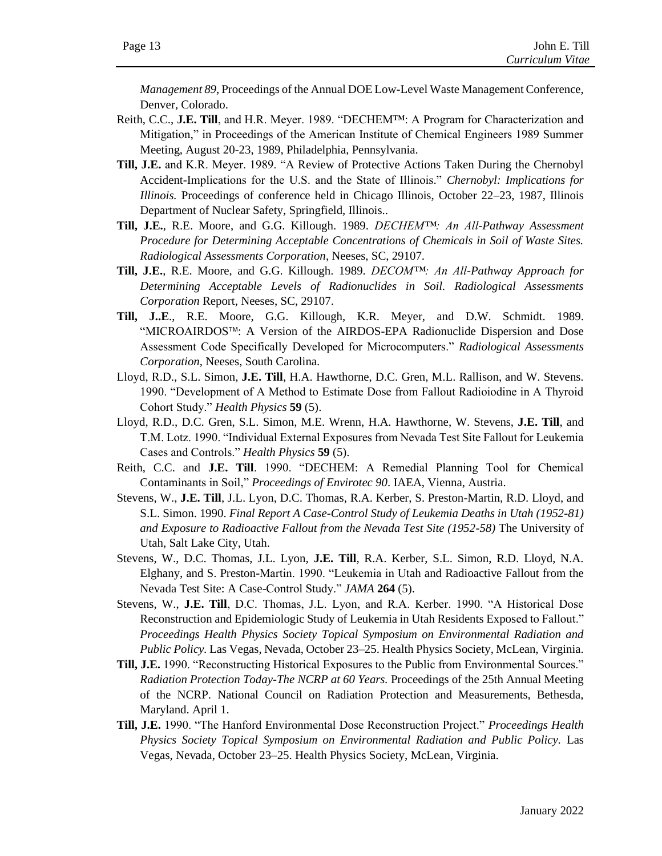*Management 89*, Proceedings of the Annual DOE Low-Level Waste Management Conference, Denver, Colorado.

- Reith, C.C., **J.E. Till**, and H.R. Meyer. 1989. "DECHEM™: A Program for Characterization and Mitigation," in Proceedings of the American Institute of Chemical Engineers 1989 Summer Meeting, August 20-23, 1989, Philadelphia, Pennsylvania.
- **Till, J.E.** and K.R. Meyer. 1989. "A Review of Protective Actions Taken During the Chernobyl Accident-Implications for the U.S. and the State of Illinois." *Chernobyl: Implications for Illinois.* Proceedings of conference held in Chicago Illinois, October 22–23, 1987, Illinois Department of Nuclear Safety, Springfield, Illinois..
- **Till, J.E.**, R.E. Moore, and G.G. Killough. 1989. *DECHEM™: An All-Pathway Assessment Procedure for Determining Acceptable Concentrations of Chemicals in Soil of Waste Sites. Radiological Assessments Corporation*, Neeses, SC, 29107.
- **Till, J.E.**, R.E. Moore, and G.G. Killough. 1989. *DECOM™: An All-Pathway Approach for Determining Acceptable Levels of Radionuclides in Soil. Radiological Assessments Corporation* Report, Neeses, SC, 29107.
- **Till, J..E**., R.E. Moore, G.G. Killough, K.R. Meyer, and D.W. Schmidt. 1989. "MICROAIRDOS<sup>™</sup>: A Version of the AIRDOS-EPA Radionuclide Dispersion and Dose Assessment Code Specifically Developed for Microcomputers." *Radiological Assessments Corporation*, Neeses, South Carolina.
- Lloyd, R.D., S.L. Simon, **J.E. Till**, H.A. Hawthorne, D.C. Gren, M.L. Rallison, and W. Stevens. 1990. "Development of A Method to Estimate Dose from Fallout Radioiodine in A Thyroid Cohort Study." *Health Physics* **59** (5).
- Lloyd, R.D., D.C. Gren, S.L. Simon, M.E. Wrenn, H.A. Hawthorne, W. Stevens, **J.E. Till**, and T.M. Lotz. 1990. "Individual External Exposures from Nevada Test Site Fallout for Leukemia Cases and Controls." *Health Physics* **59** (5).
- Reith, C.C. and **J.E. Till**. 1990. "DECHEM: A Remedial Planning Tool for Chemical Contaminants in Soil," *Proceedings of Envirotec 90*. IAEA, Vienna, Austria.
- Stevens, W., **J.E. Till**, J.L. Lyon, D.C. Thomas, R.A. Kerber, S. Preston-Martin, R.D. Lloyd, and S.L. Simon. 1990. *Final Report A Case-Control Study of Leukemia Deaths in Utah (1952-81) and Exposure to Radioactive Fallout from the Nevada Test Site (1952-58)* The University of Utah, Salt Lake City, Utah.
- Stevens, W., D.C. Thomas, J.L. Lyon, **J.E. Till**, R.A. Kerber, S.L. Simon, R.D. Lloyd, N.A. Elghany, and S. Preston-Martin. 1990. "Leukemia in Utah and Radioactive Fallout from the Nevada Test Site: A Case-Control Study." *JAMA* **264** (5).
- Stevens, W., **J.E. Till**, D.C. Thomas, J.L. Lyon, and R.A. Kerber. 1990. "A Historical Dose Reconstruction and Epidemiologic Study of Leukemia in Utah Residents Exposed to Fallout." *Proceedings Health Physics Society Topical Symposium on Environmental Radiation and Public Policy.* Las Vegas, Nevada, October 23–25. Health Physics Society, McLean, Virginia.
- **Till, J.E.** 1990. "Reconstructing Historical Exposures to the Public from Environmental Sources." *Radiation Protection Today-The NCRP at 60 Years.* Proceedings of the 25th Annual Meeting of the NCRP. National Council on Radiation Protection and Measurements, Bethesda, Maryland. April 1.
- **Till, J.E.** 1990. "The Hanford Environmental Dose Reconstruction Project." *Proceedings Health Physics Society Topical Symposium on Environmental Radiation and Public Policy.* Las Vegas, Nevada, October 23–25. Health Physics Society, McLean, Virginia.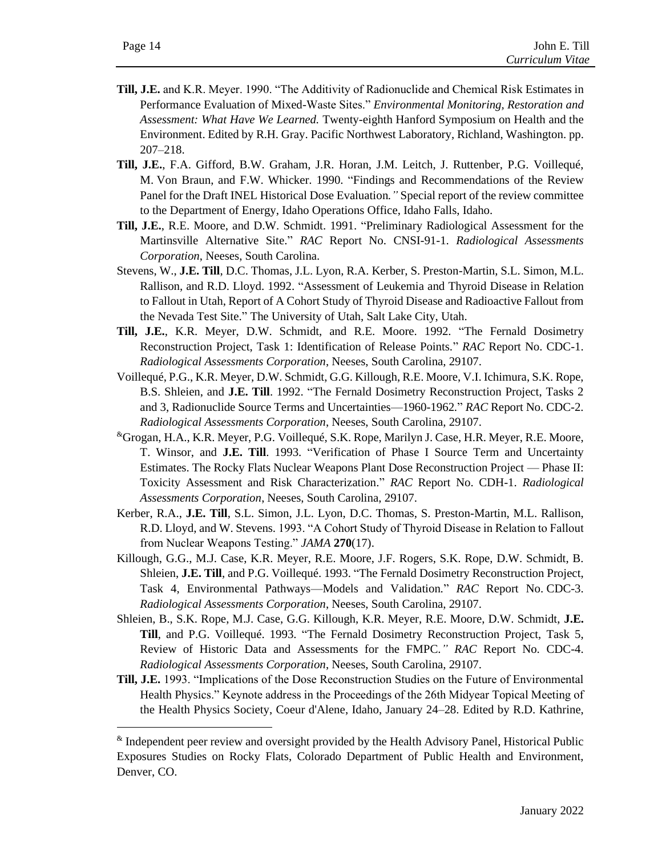- **Till, J.E.** and K.R. Meyer. 1990. "The Additivity of Radionuclide and Chemical Risk Estimates in Performance Evaluation of Mixed-Waste Sites." *Environmental Monitoring, Restoration and Assessment: What Have We Learned.* Twenty-eighth Hanford Symposium on Health and the Environment. Edited by R.H. Gray. Pacific Northwest Laboratory, Richland, Washington. pp. 207–218.
- **Till, J.E.**, F.A. Gifford, B.W. Graham, J.R. Horan, J.M. Leitch, J. Ruttenber, P.G. Voillequé, M. Von Braun, and F.W. Whicker. 1990. "Findings and Recommendations of the Review Panel for the Draft INEL Historical Dose Evaluation*."* Special report of the review committee to the Department of Energy, Idaho Operations Office, Idaho Falls, Idaho.
- **Till, J.E.**, R.E. Moore, and D.W. Schmidt. 1991. "Preliminary Radiological Assessment for the Martinsville Alternative Site." *RAC* Report No. CNSI-91-1. *Radiological Assessments Corporation*, Neeses, South Carolina.
- Stevens, W., **J.E. Till**, D.C. Thomas, J.L. Lyon, R.A. Kerber, S. Preston-Martin, S.L. Simon, M.L. Rallison, and R.D. Lloyd. 1992. "Assessment of Leukemia and Thyroid Disease in Relation to Fallout in Utah, Report of A Cohort Study of Thyroid Disease and Radioactive Fallout from the Nevada Test Site." The University of Utah, Salt Lake City, Utah.
- **Till, J.E.**, K.R. Meyer, D.W. Schmidt, and R.E. Moore. 1992. "The Fernald Dosimetry Reconstruction Project, Task 1: Identification of Release Points." *RAC* Report No. CDC-1. *Radiological Assessments Corporation*, Neeses, South Carolina, 29107.
- Voillequé, P.G., K.R. Meyer, D.W. Schmidt, G.G. Killough, R.E. Moore, V.I. Ichimura, S.K. Rope, B.S. Shleien, and **J.E. Till**. 1992. "The Fernald Dosimetry Reconstruction Project, Tasks 2 and 3, Radionuclide Source Terms and Uncertainties—1960-1962*.*" *RAC* Report No. CDC-2. *Radiological Assessments Corporation*, Neeses, South Carolina, 29107.
- &Grogan, H.A., K.R. Meyer, P.G. Voillequé, S.K. Rope, Marilyn J. Case, H.R. Meyer, R.E. Moore, T. Winsor, and **J.E. Till**. 1993. "Verification of Phase I Source Term and Uncertainty Estimates. The Rocky Flats Nuclear Weapons Plant Dose Reconstruction Project — Phase II: Toxicity Assessment and Risk Characterization." *RAC* Report No. CDH-1. *Radiological Assessments Corporation*, Neeses, South Carolina, 29107.
- Kerber, R.A., **J.E. Till**, S.L. Simon, J.L. Lyon, D.C. Thomas, S. Preston-Martin, M.L. Rallison, R.D. Lloyd, and W. Stevens. 1993. "A Cohort Study of Thyroid Disease in Relation to Fallout from Nuclear Weapons Testing." *JAMA* **270**(17).
- Killough, G.G., M.J. Case, K.R. Meyer, R.E. Moore, J.F. Rogers, S.K. Rope, D.W. Schmidt, B. Shleien, **J.E. Till**, and P.G. Voillequé. 1993. "The Fernald Dosimetry Reconstruction Project, Task 4, Environmental Pathways—Models and Validation*.*" *RAC* Report No. CDC-3. *Radiological Assessments Corporation*, Neeses, South Carolina, 29107.
- Shleien, B., S.K. Rope, M.J. Case, G.G. Killough, K.R. Meyer, R.E. Moore, D.W. Schmidt, **J.E. Till**, and P.G. Voillequé. 1993. "The Fernald Dosimetry Reconstruction Project, Task 5, Review of Historic Data and Assessments for the FMPC*." RAC* Report No. CDC-4. *Radiological Assessments Corporation*, Neeses, South Carolina, 29107.
- **Till, J.E.** 1993. "Implications of the Dose Reconstruction Studies on the Future of Environmental Health Physics." Keynote address in the Proceedings of the 26th Midyear Topical Meeting of the Health Physics Society, Coeur d'Alene, Idaho, January 24–28. Edited by R.D. Kathrine,

<sup>&</sup>amp; Independent peer review and oversight provided by the Health Advisory Panel, Historical Public Exposures Studies on Rocky Flats, Colorado Department of Public Health and Environment, Denver, CO.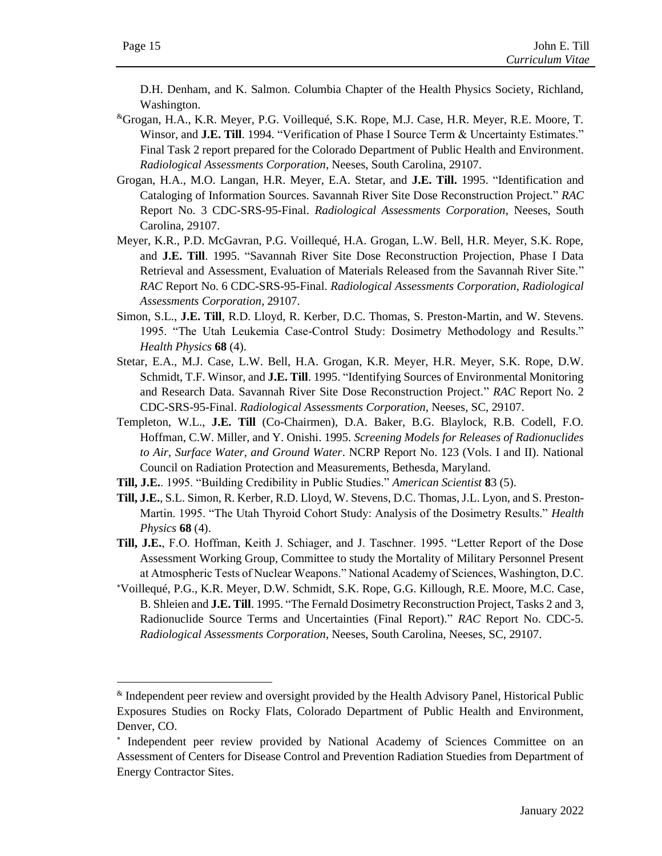D.H. Denham, and K. Salmon. Columbia Chapter of the Health Physics Society, Richland, Washington.

- &Grogan, H.A., K.R. Meyer, P.G. Voillequé, S.K. Rope, M.J. Case, H.R. Meyer, R.E. Moore, T. Winsor, and **J.E. Till**. 1994. "Verification of Phase I Source Term & Uncertainty Estimates." Final Task 2 report prepared for the Colorado Department of Public Health and Environment. *Radiological Assessments Corporation*, Neeses, South Carolina, 29107.
- Grogan, H.A., M.O. Langan, H.R. Meyer, E.A. Stetar, and **J.E. Till.** 1995. "Identification and Cataloging of Information Sources. Savannah River Site Dose Reconstruction Project." *RAC*  Report No. 3 CDC-SRS-95-Final. *Radiological Assessments Corporation*, Neeses, South Carolina, 29107.
- Meyer, K.R., P.D. McGavran, P.G. Voillequé, H.A. Grogan, L.W. Bell, H.R. Meyer, S.K. Rope, and **J.E. Till**. 1995. "Savannah River Site Dose Reconstruction Projection, Phase I Data Retrieval and Assessment, Evaluation of Materials Released from the Savannah River Site." *RAC* Report No. 6 CDC-SRS-95-Final. *Radiological Assessments Corporation*, *Radiological Assessments Corporation*, 29107.
- Simon, S.L., **J.E. Till**, R.D. Lloyd, R. Kerber, D.C. Thomas, S. Preston-Martin, and W. Stevens. 1995. "The Utah Leukemia Case-Control Study: Dosimetry Methodology and Results." *Health Physics* **68** (4).
- Stetar, E.A., M.J. Case, L.W. Bell, H.A. Grogan, K.R. Meyer, H.R. Meyer, S.K. Rope, D.W. Schmidt, T.F. Winsor, and **J.E. Till**. 1995. "Identifying Sources of Environmental Monitoring and Research Data. Savannah River Site Dose Reconstruction Project." *RAC* Report No. 2 CDC-SRS-95-Final. *Radiological Assessments Corporation*, Neeses, SC, 29107.
- Templeton, W.L., **J.E. Till** (Co-Chairmen), D.A. Baker, B.G. Blaylock, R.B. Codell, F.O. Hoffman, C.W. Miller, and Y. Onishi. 1995. *Screening Models for Releases of Radionuclides to Air, Surface Water, and Ground Water*. NCRP Report No. 123 (Vols. I and II). National Council on Radiation Protection and Measurements, Bethesda, Maryland.
- **Till, J.E.**. 1995. "Building Credibility in Public Studies." *American Scientist* **8**3 (5).
- **Till, J.E.**, S.L. Simon, R. Kerber, R.D. Lloyd, W. Stevens, D.C. Thomas, J.L. Lyon, and S. Preston-Martin. 1995. "The Utah Thyroid Cohort Study: Analysis of the Dosimetry Results." *Health Physics* **68** (4).
- **Till, J.E.**, F.O. Hoffman, Keith J. Schiager, and J. Taschner. 1995. "Letter Report of the Dose Assessment Working Group, Committee to study the Mortality of Military Personnel Present at Atmospheric Tests of Nuclear Weapons." National Academy of Sciences, Washington, D.C.
- Voillequé, P.G., K.R. Meyer, D.W. Schmidt, S.K. Rope, G.G. Killough, R.E. Moore, M.C. Case, B. Shleien and **J.E. Till**. 1995. "The Fernald Dosimetry Reconstruction Project, Tasks 2 and 3, Radionuclide Source Terms and Uncertainties (Final Report)." *RAC* Report No. CDC-5. *Radiological Assessments Corporation*, Neeses, South Carolina*,* Neeses, SC, 29107.

<sup>&</sup>amp; Independent peer review and oversight provided by the Health Advisory Panel, Historical Public Exposures Studies on Rocky Flats, Colorado Department of Public Health and Environment, Denver, CO.

<sup>\*</sup> Independent peer review provided by National Academy of Sciences Committee on an Assessment of Centers for Disease Control and Prevention Radiation Stuedies from Department of Energy Contractor Sites.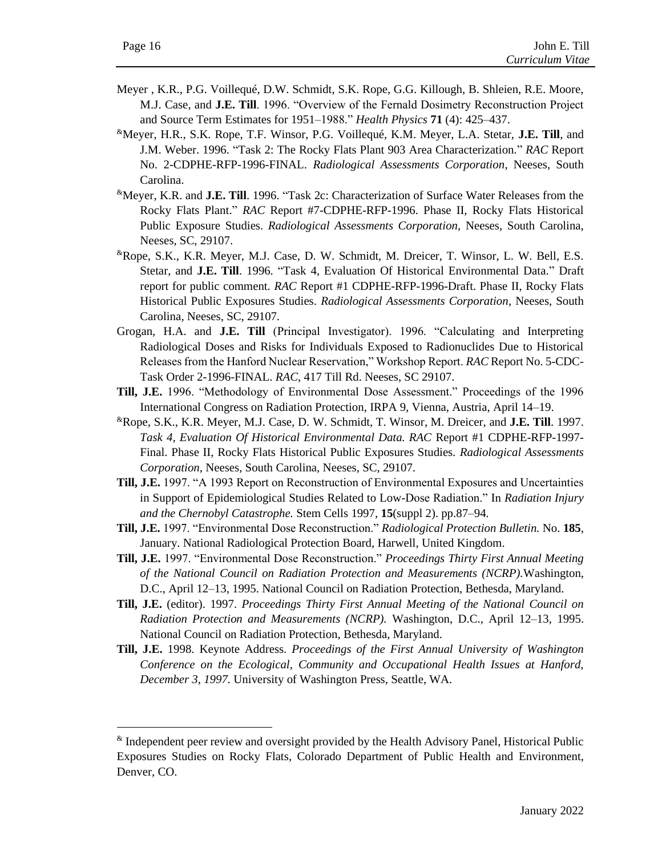- Meyer , K.R., P.G. Voillequé, D.W. Schmidt, S.K. Rope, G.G. Killough, B. Shleien, R.E. Moore, M.J. Case, and **J.E. Till**. 1996. "Overview of the Fernald Dosimetry Reconstruction Project and Source Term Estimates for 1951–1988." *Health Physics* **71** (4): 425–437.
- &Meyer, H.R., S.K. Rope, T.F. Winsor, P.G. Voillequé, K.M. Meyer, L.A. Stetar, **J.E. Till**, and J.M. Weber. 1996. "Task 2: The Rocky Flats Plant 903 Area Characterization." *RAC* Report No. 2-CDPHE-RFP-1996-FINAL. *Radiological Assessments Corporation*, Neeses, South Carolina.
- &Meyer, K.R. and **J.E. Till**. 1996. "Task 2c: Characterization of Surface Water Releases from the Rocky Flats Plant." *RAC* Report #7-CDPHE-RFP-1996. Phase II, Rocky Flats Historical Public Exposure Studies. *Radiological Assessments Corporation*, Neeses, South Carolina, Neeses, SC, 29107.
- &Rope, S.K., K.R. Meyer, M.J. Case, D. W. Schmidt, M. Dreicer, T. Winsor, L. W. Bell, E.S. Stetar, and **J.E. Till**. 1996. "Task 4, Evaluation Of Historical Environmental Data." Draft report for public comment. *RAC* Report #1 CDPHE-RFP-1996-Draft. Phase II, Rocky Flats Historical Public Exposures Studies. *Radiological Assessments Corporation*, Neeses, South Carolina*,* Neeses, SC, 29107.
- Grogan, H.A. and **J.E. Till** (Principal Investigator). 1996. "Calculating and Interpreting Radiological Doses and Risks for Individuals Exposed to Radionuclides Due to Historical Releases from the Hanford Nuclear Reservation," Workshop Report. *RAC* Report No. 5-CDC-Task Order 2-1996-FINAL. *RAC*, 417 Till Rd. Neeses, SC 29107.
- **Till, J.E.** 1996. "Methodology of Environmental Dose Assessment." Proceedings of the 1996 International Congress on Radiation Protection, IRPA 9, Vienna, Austria, April 14–19.
- &Rope, S.K., K.R. Meyer, M.J. Case, D. W. Schmidt, T. Winsor, M. Dreicer, and **J.E. Till**. 1997. *Task 4, Evaluation Of Historical Environmental Data. RAC* Report #1 CDPHE-RFP-1997- Final. Phase II, Rocky Flats Historical Public Exposures Studies. *Radiological Assessments Corporation*, Neeses, South Carolina, Neeses, SC, 29107.
- **Till, J.E.** 1997. "A 1993 Report on Reconstruction of Environmental Exposures and Uncertainties in Support of Epidemiological Studies Related to Low-Dose Radiation." In *Radiation Injury and the Chernobyl Catastrophe.* Stem Cells 1997, **15**(suppl 2). pp.87–94.
- **Till, J.E.** 1997. "Environmental Dose Reconstruction." *Radiological Protection Bulletin.* No. **185**, January. National Radiological Protection Board, Harwell, United Kingdom.
- **Till, J.E.** 1997. "Environmental Dose Reconstruction." *Proceedings Thirty First Annual Meeting of the National Council on Radiation Protection and Measurements (NCRP).*Washington, D.C., April 12–13, 1995. National Council on Radiation Protection, Bethesda, Maryland.
- **Till, J.E.** (editor). 1997. *Proceedings Thirty First Annual Meeting of the National Council on Radiation Protection and Measurements (NCRP).* Washington, D.C., April 12–13, 1995. National Council on Radiation Protection, Bethesda, Maryland.
- **Till, J.E.** 1998. Keynote Address. *Proceedings of the First Annual University of Washington Conference on the Ecological, Community and Occupational Health Issues at Hanford, December 3, 1997.* University of Washington Press, Seattle, WA.

<sup>&</sup>amp; Independent peer review and oversight provided by the Health Advisory Panel, Historical Public Exposures Studies on Rocky Flats, Colorado Department of Public Health and Environment, Denver, CO.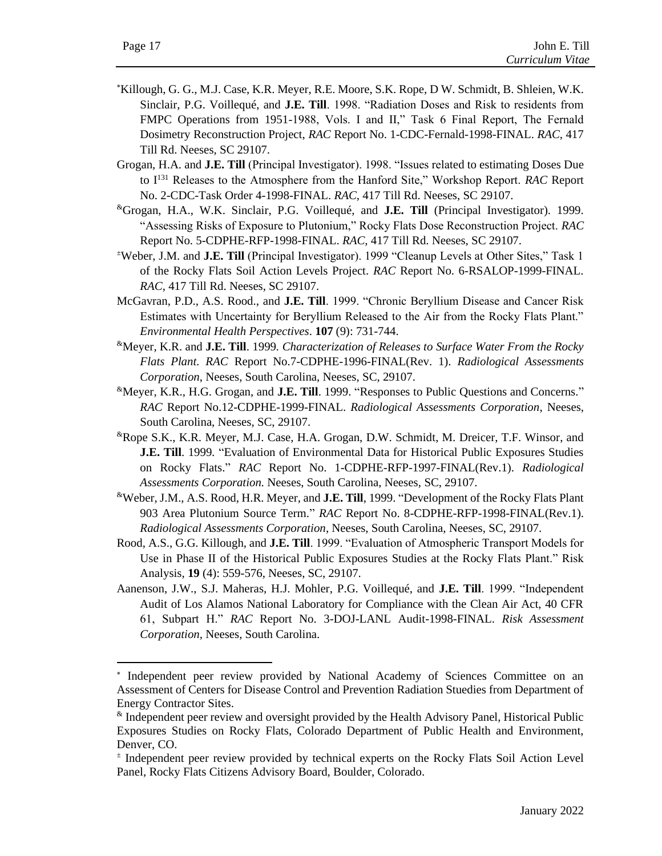- Killough, G. G., M.J. Case, K.R. Meyer, R.E. Moore, S.K. Rope, D W. Schmidt, B. Shleien, W.K. Sinclair, P.G. Voillequé, and **J.E. Till**. 1998. "Radiation Doses and Risk to residents from FMPC Operations from 1951-1988, Vols. I and II," Task 6 Final Report, The Fernald Dosimetry Reconstruction Project, *RAC* Report No. 1-CDC-Fernald-1998-FINAL. *RAC*, 417 Till Rd. Neeses, SC 29107.
- Grogan, H.A. and **J.E. Till** (Principal Investigator). 1998. "Issues related to estimating Doses Due to I<sup>131</sup> Releases to the Atmosphere from the Hanford Site," Workshop Report. *RAC* Report No. 2-CDC-Task Order 4-1998-FINAL. *RAC*, 417 Till Rd. Neeses, SC 29107.
- &Grogan, H.A., W.K. Sinclair, P.G. Voillequé, and **J.E. Till** (Principal Investigator). 1999. "Assessing Risks of Exposure to Plutonium," Rocky Flats Dose Reconstruction Project. *RAC*  Report No. 5-CDPHE-RFP-1998-FINAL. *RAC*, 417 Till Rd. Neeses, SC 29107.
- <sup>±</sup>Weber, J.M. and **J.E. Till** (Principal Investigator). 1999 "Cleanup Levels at Other Sites," Task 1 of the Rocky Flats Soil Action Levels Project. *RAC* Report No. 6-RSALOP-1999-FINAL. *RAC*, 417 Till Rd. Neeses, SC 29107.
- McGavran, P.D., A.S. Rood., and **J.E. Till**. 1999. "Chronic Beryllium Disease and Cancer Risk Estimates with Uncertainty for Beryllium Released to the Air from the Rocky Flats Plant." *Environmental Health Perspectives*. **107** (9): 731-744.
- &Meyer, K.R. and **J.E. Till**. 1999*. Characterization of Releases to Surface Water From the Rocky Flats Plant. RAC* Report No.7-CDPHE-1996-FINAL(Rev. 1). *Radiological Assessments Corporation*, Neeses, South Carolina, Neeses, SC, 29107.
- &Meyer, K.R., H.G. Grogan, and **J.E. Till**. 1999. "Responses to Public Questions and Concerns." *RAC* Report No.12-CDPHE-1999-FINAL. *Radiological Assessments Corporation*, Neeses, South Carolina, Neeses, SC, 29107.
- &Rope S.K., K.R. Meyer, M.J. Case, H.A. Grogan, D.W. Schmidt, M. Dreicer, T.F. Winsor, and **J.E. Till**. 1999*.* "Evaluation of Environmental Data for Historical Public Exposures Studies on Rocky Flats." *RAC* Report No. 1-CDPHE-RFP-1997-FINAL(Rev.1). *Radiological Assessments Corporation.* Neeses, South Carolina, Neeses, SC, 29107.
- &Weber, J.M., A.S. Rood, H.R. Meyer, and **J.E. Till**, 1999. "Development of the Rocky Flats Plant 903 Area Plutonium Source Term." *RAC* Report No. 8-CDPHE-RFP-1998-FINAL(Rev.1). *Radiological Assessments Corporation*, Neeses, South Carolina, Neeses, SC, 29107.
- Rood, A.S., G.G. Killough, and **J.E. Till**. 1999. "Evaluation of Atmospheric Transport Models for Use in Phase II of the Historical Public Exposures Studies at the Rocky Flats Plant." Risk Analysis, **19** (4): 559-576, Neeses, SC, 29107.
- Aanenson, J.W., S.J. Maheras, H.J. Mohler, P.G. Voillequé, and **J.E. Till**. 1999. "Independent Audit of Los Alamos National Laboratory for Compliance with the Clean Air Act, 40 CFR 61, Subpart H." *RAC* Report No. 3-DOJ-LANL Audit-1998-FINAL. *Risk Assessment Corporation,* Neeses, South Carolina.

<sup>\*</sup> Independent peer review provided by National Academy of Sciences Committee on an Assessment of Centers for Disease Control and Prevention Radiation Stuedies from Department of Energy Contractor Sites.

<sup>&</sup>amp; Independent peer review and oversight provided by the Health Advisory Panel, Historical Public Exposures Studies on Rocky Flats, Colorado Department of Public Health and Environment, Denver, CO.

<sup>±</sup> Independent peer review provided by technical experts on the Rocky Flats Soil Action Level Panel, Rocky Flats Citizens Advisory Board, Boulder, Colorado.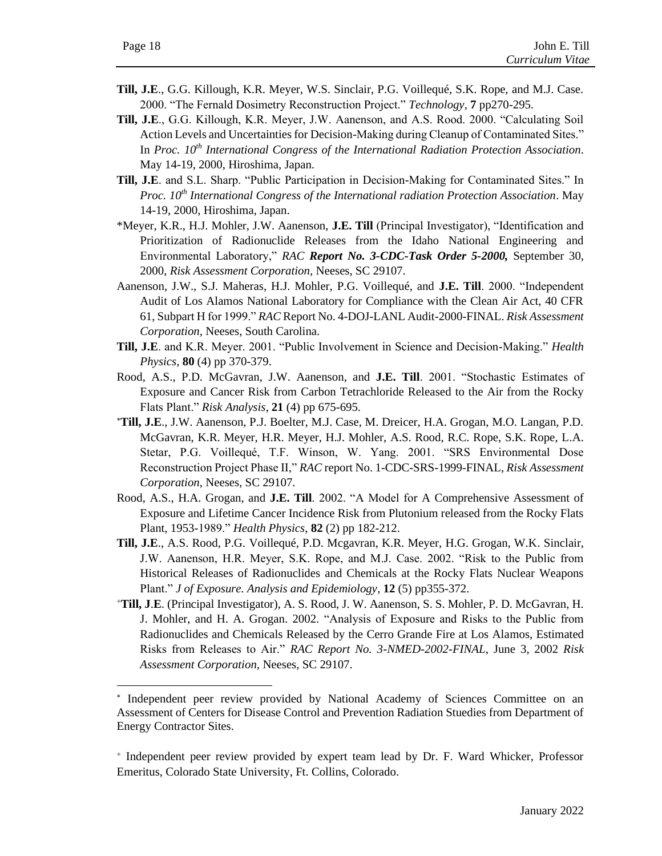- **Till, J.E**., G.G. Killough, K.R. Meyer, W.S. Sinclair, P.G. Voillequé, S.K. Rope, and M.J. Case. 2000. "The Fernald Dosimetry Reconstruction Project." *Technology*, **7** pp270-295.
- **Till, J.E**., G.G. Killough, K.R. Meyer, J.W. Aanenson, and A.S. Rood. 2000. "Calculating Soil Action Levels and Uncertainties for Decision-Making during Cleanup of Contaminated Sites." In *Proc. 10th International Congress of the International Radiation Protection Association*. May 14-19, 2000, Hiroshima, Japan.
- **Till, J.E**. and S.L. Sharp. "Public Participation in Decision-Making for Contaminated Sites." In *Proc. 10th International Congress of the International radiation Protection Association*. May 14-19, 2000, Hiroshima, Japan.
- \*Meyer, K.R., H.J. Mohler, J.W. Aanenson, **J.E. Till** (Principal Investigator), "Identification and Prioritization of Radionuclide Releases from the Idaho National Engineering and Environmental Laboratory," *RAC Report No. 3-CDC-Task Order 5-2000,* September 30, 2000, *Risk Assessment Corporation,* Neeses, SC 29107.
- Aanenson, J.W., S.J. Maheras, H.J. Mohler, P.G. Voillequé, and **J.E. Till**. 2000. "Independent Audit of Los Alamos National Laboratory for Compliance with the Clean Air Act, 40 CFR 61, Subpart H for 1999." *RAC* Report No. 4-DOJ-LANL Audit-2000-FINAL. *Risk Assessment Corporation,* Neeses, South Carolina.
- **Till, J.E**. and K.R. Meyer. 2001. "Public Involvement in Science and Decision-Making." *Health Physics*, **80** (4) pp 370-379.
- Rood, A.S., P.D. McGavran, J.W. Aanenson, and **J.E. Till**. 2001. "Stochastic Estimates of Exposure and Cancer Risk from Carbon Tetrachloride Released to the Air from the Rocky Flats Plant." *Risk Analysis*, **21** (4) pp 675-695.
- **Till, J.E**., J.W. Aanenson, P.J. Boelter, M.J. Case, M. Dreicer, H.A. Grogan, M.O. Langan, P.D. McGavran, K.R. Meyer, H.R. Meyer, H.J. Mohler, A.S. Rood, R.C. Rope, S.K. Rope, L.A. Stetar, P.G. Voillequé, T.F. Winson, W. Yang. 2001. "SRS Environmental Dose Reconstruction Project Phase II," *RAC* report No. 1-CDC-SRS-1999-FINAL, *Risk Assessment Corporation*, Neeses, SC 29107.
- Rood, A.S., H.A. Grogan, and **J.E. Till**. 2002. "A Model for A Comprehensive Assessment of Exposure and Lifetime Cancer Incidence Risk from Plutonium released from the Rocky Flats Plant, 1953-1989." *Health Physics*, **82** (2) pp 182-212.
- **Till, J.E**., A.S. Rood, P.G. Voillequé, P.D. Mcgavran, K.R. Meyer, H.G. Grogan, W.K. Sinclair, J.W. Aanenson, H.R. Meyer, S.K. Rope, and M.J. Case. 2002. "Risk to the Public from Historical Releases of Radionuclides and Chemicals at the Rocky Flats Nuclear Weapons Plant." *J of Exposure. Analysis and Epidemiology*, **12** (5) pp355-372.
- <sup>+</sup>**Till, J**.**E**. (Principal Investigator), A. S. Rood, J. W. Aanenson, S. S. Mohler, P. D. McGavran, H. J. Mohler, and H. A. Grogan. 2002. "Analysis of Exposure and Risks to the Public from Radionuclides and Chemicals Released by the Cerro Grande Fire at Los Alamos, Estimated Risks from Releases to Air." *RAC Report No. 3-NMED-2002-FINAL*, June 3, 2002 *Risk Assessment Corporation,* Neeses, SC 29107.

<sup>\*</sup> Independent peer review provided by National Academy of Sciences Committee on an Assessment of Centers for Disease Control and Prevention Radiation Stuedies from Department of Energy Contractor Sites.

<sup>+</sup> Independent peer review provided by expert team lead by Dr. F. Ward Whicker, Professor Emeritus, Colorado State University, Ft. Collins, Colorado.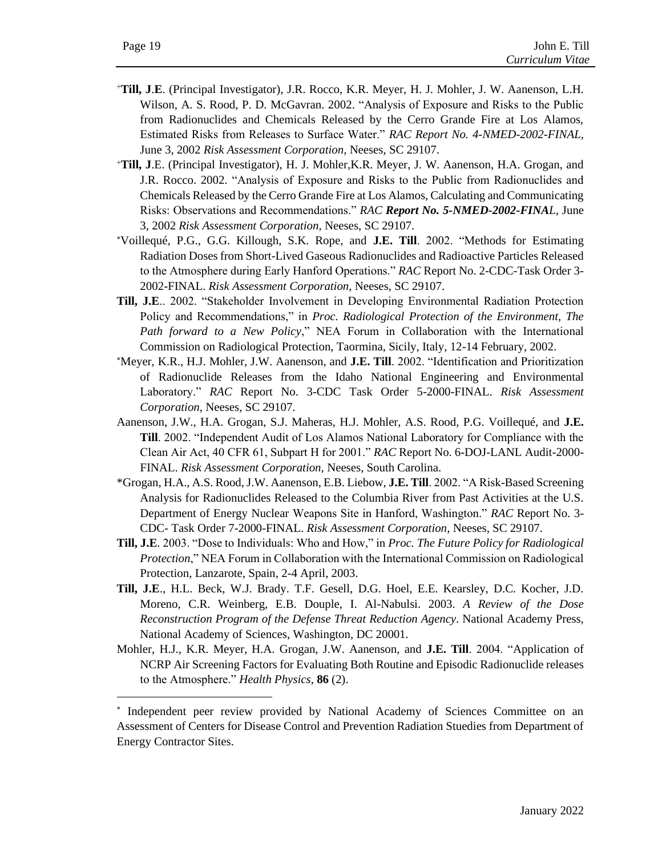- <sup>+</sup>**Till, J**.**E**. (Principal Investigator), J.R. Rocco, K.R. Meyer, H. J. Mohler, J. W. Aanenson, L.H. Wilson, A. S. Rood, P. D. McGavran. 2002. "Analysis of Exposure and Risks to the Public from Radionuclides and Chemicals Released by the Cerro Grande Fire at Los Alamos, Estimated Risks from Releases to Surface Water." *RAC Report No. 4-NMED-2002-FINAL*, June 3, 2002 *Risk Assessment Corporation,* Neeses, SC 29107.
- <sup>+</sup>**Till, J**.E. (Principal Investigator), H. J. Mohler,K.R. Meyer, J. W. Aanenson, H.A. Grogan, and J.R. Rocco. 2002. "Analysis of Exposure and Risks to the Public from Radionuclides and Chemicals Released by the Cerro Grande Fire at Los Alamos, Calculating and Communicating Risks: Observations and Recommendations." *RAC Report No. 5-NMED-2002-FINAL*, June 3, 2002 *Risk Assessment Corporation,* Neeses, SC 29107.
- Voillequé, P.G., G.G. Killough, S.K. Rope, and **J.E. Till**. 2002. "Methods for Estimating Radiation Doses from Short-Lived Gaseous Radionuclides and Radioactive Particles Released to the Atmosphere during Early Hanford Operations." *RAC* Report No. 2-CDC-Task Order 3- 2002-FINAL. *Risk Assessment Corporation*, Neeses, SC 29107.
- **Till, J.E**.. 2002. "Stakeholder Involvement in Developing Environmental Radiation Protection Policy and Recommendations," in *Proc. Radiological Protection of the Environment, The Path forward to a New Policy*," NEA Forum in Collaboration with the International Commission on Radiological Protection, Taormina, Sicily, Italy, 12-14 February, 2002.
- Meyer, K.R., H.J. Mohler, J.W. Aanenson, and **J.E. Till**. 2002. "Identification and Prioritization of Radionuclide Releases from the Idaho National Engineering and Environmental Laboratory." *RAC* Report No. 3-CDC Task Order 5-2000-FINAL. *Risk Assessment Corporation*, Neeses, SC 29107.
- Aanenson, J.W., H.A. Grogan, S.J. Maheras, H.J. Mohler, A.S. Rood, P.G. Voillequé, and **J.E. Till**. 2002. "Independent Audit of Los Alamos National Laboratory for Compliance with the Clean Air Act, 40 CFR 61, Subpart H for 2001." *RAC* Report No. 6-DOJ-LANL Audit-2000- FINAL. *Risk Assessment Corporation,* Neeses, South Carolina.
- \*Grogan, H.A., A.S. Rood, J.W. Aanenson, E.B. Liebow, **J.E. Till**. 2002. "A Risk-Based Screening Analysis for Radionuclides Released to the Columbia River from Past Activities at the U.S. Department of Energy Nuclear Weapons Site in Hanford, Washington." *RAC* Report No. 3- CDC- Task Order 7-2000-FINAL. *Risk Assessment Corporation*, Neeses, SC 29107.
- **Till, J.E**. 2003. "Dose to Individuals: Who and How," in *Proc. The Future Policy for Radiological Protection*," NEA Forum in Collaboration with the International Commission on Radiological Protection, Lanzarote, Spain, 2-4 April, 2003.
- **Till, J.E**., H.L. Beck, W.J. Brady. T.F. Gesell, D.G. Hoel, E.E. Kearsley, D.C. Kocher, J.D. Moreno, C.R. Weinberg, E.B. Douple, I. Al-Nabulsi. 2003. *A Review of the Dose Reconstruction Program of the Defense Threat Reduction Agency*. National Academy Press, National Academy of Sciences, Washington, DC 20001.
- Mohler, H.J., K.R. Meyer, H.A. Grogan, J.W. Aanenson, and **J.E. Till**. 2004. "Application of NCRP Air Screening Factors for Evaluating Both Routine and Episodic Radionuclide releases to the Atmosphere." *Health Physics*, **86** (2).

<sup>\*</sup> Independent peer review provided by National Academy of Sciences Committee on an Assessment of Centers for Disease Control and Prevention Radiation Stuedies from Department of Energy Contractor Sites.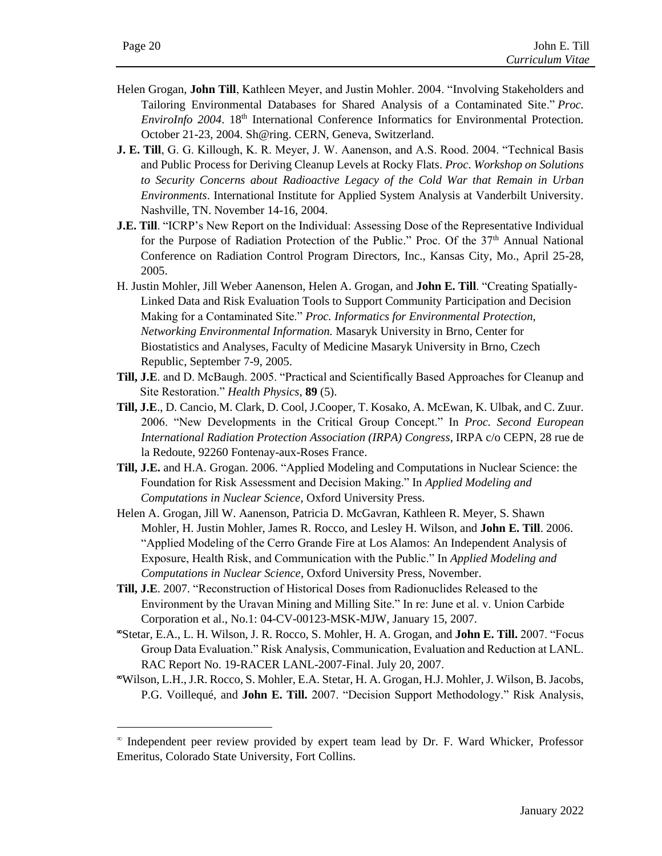- Helen Grogan, **John Till**, Kathleen Meyer, and Justin Mohler. 2004. "Involving Stakeholders and Tailoring Environmental Databases for Shared Analysis of a Contaminated Site." *Proc. EnviroInfo 2004*. 18<sup>th</sup> International Conference Informatics for Environmental Protection. October 21-23, 2004. Sh@ring. CERN, Geneva, Switzerland.
- **J. E. Till**, G. G. Killough, K. R. Meyer, J. W. Aanenson, and A.S. Rood. 2004. "Technical Basis and Public Process for Deriving Cleanup Levels at Rocky Flats. *Proc. Workshop on Solutions to Security Concerns about Radioactive Legacy of the Cold War that Remain in Urban Environments*. International Institute for Applied System Analysis at Vanderbilt University. Nashville, TN. November 14-16, 2004.
- **J.E. Till**. "ICRP's New Report on the Individual: Assessing Dose of the Representative Individual for the Purpose of Radiation Protection of the Public." Proc. Of the  $37<sup>th</sup>$  Annual National Conference on Radiation Control Program Directors, Inc., Kansas City, Mo., April 25-28, 2005.
- H. Justin Mohler, Jill Weber Aanenson, Helen A. Grogan, and **John E. Till**. "Creating Spatially-Linked Data and Risk Evaluation Tools to Support Community Participation and Decision Making for a Contaminated Site." *Proc. Informatics for Environmental Protection, Networking Environmental Information.* Masaryk University in Brno, Center for Biostatistics and Analyses, Faculty of Medicine Masaryk University in Brno, Czech Republic, September 7-9, 2005.
- **Till, J.E**. and D. McBaugh. 2005. "Practical and Scientifically Based Approaches for Cleanup and Site Restoration." *Health Physics*, **89** (5).
- **Till, J.E**., D. Cancio, M. Clark, D. Cool, J.Cooper, T. Kosako, A. McEwan, K. Ulbak, and C. Zuur. 2006. "New Developments in the Critical Group Concept." In *Proc. Second European International Radiation Protection Association (IRPA) Congress*, IRPA c/o CEPN, 28 rue de la Redoute, 92260 Fontenay-aux-Roses France.
- **Till, J.E.** and H.A. Grogan. 2006. "Applied Modeling and Computations in Nuclear Science: the Foundation for Risk Assessment and Decision Making." In *Applied Modeling and Computations in Nuclear Science*, Oxford University Press.
- Helen A. Grogan, Jill W. Aanenson, Patricia D. McGavran, Kathleen R. Meyer, S. Shawn Mohler, H. Justin Mohler, James R. Rocco, and Lesley H. Wilson, and **John E. Till**. 2006. "Applied Modeling of the Cerro Grande Fire at Los Alamos: An Independent Analysis of Exposure, Health Risk, and Communication with the Public." In *Applied Modeling and Computations in Nuclear Science*, Oxford University Press, November.
- **Till, J.E**. 2007. "Reconstruction of Historical Doses from Radionuclides Released to the Environment by the Uravan Mining and Milling Site." In re: June et al. v. Union Carbide Corporation et al., No.1: 04-CV-00123-MSK-MJW, January 15, 2007.
- Stetar, E.A., L. H. Wilson, J. R. Rocco, S. Mohler, H. A. Grogan, and **John E. Till.** 2007. "Focus Group Data Evaluation." Risk Analysis, Communication, Evaluation and Reduction at LANL. RAC Report No. 19-RACER LANL-2007-Final. July 20, 2007.
- Wilson, L.H., J.R. Rocco, S. Mohler, E.A. Stetar, H. A. Grogan, H.J. Mohler, J. Wilson, B. Jacobs, P.G. Voillequé, and **John E. Till.** 2007. "Decision Support Methodology." Risk Analysis,

 $^{\infty}$  Independent peer review provided by expert team lead by Dr. F. Ward Whicker, Professor Emeritus, Colorado State University, Fort Collins.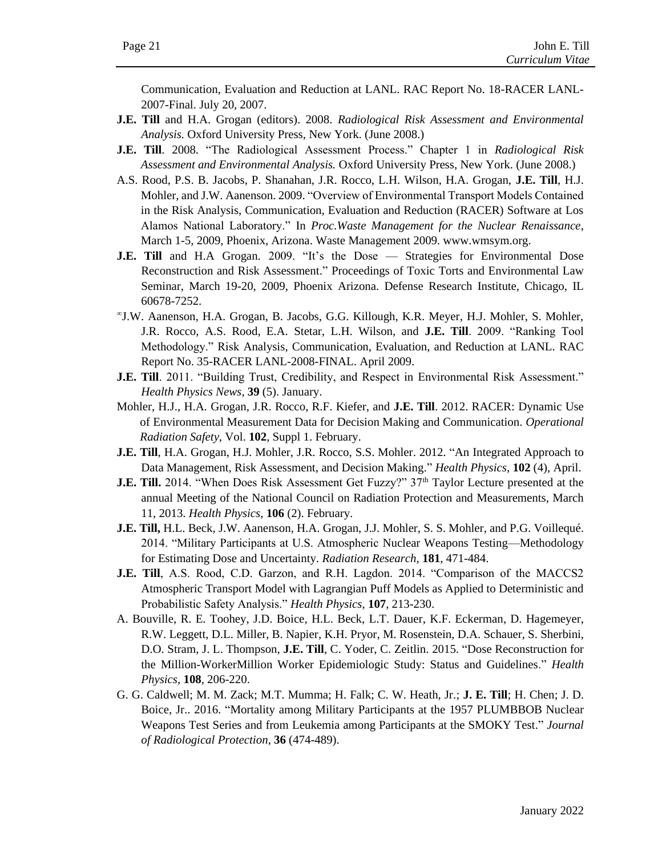Communication, Evaluation and Reduction at LANL. RAC Report No. 18-RACER LANL-2007-Final. July 20, 2007.

- **J.E. Till** and H.A. Grogan (editors). 2008. *Radiological Risk Assessment and Environmental Analysis.* Oxford University Press, New York. (June 2008.)
- **J.E. Till**. 2008. "The Radiological Assessment Process." Chapter 1 in *Radiological Risk Assessment and Environmental Analysis.* Oxford University Press, New York. (June 2008.)
- A.S. Rood, P.S. B. Jacobs, P. Shanahan, J.R. Rocco, L.H. Wilson, H.A. Grogan, **J.E. Till**, H.J. Mohler, and J.W. Aanenson. 2009. "Overview of Environmental Transport Models Contained in the Risk Analysis, Communication, Evaluation and Reduction (RACER) Software at Los Alamos National Laboratory." In *Proc.Waste Management for the Nuclear Renaissance*, March 1-5, 2009, Phoenix, Arizona. Waste Management 2009. www.wmsym.org.
- **J.E. Till** and H.A Grogan. 2009. "It's the Dose Strategies for Environmental Dose Reconstruction and Risk Assessment." Proceedings of Toxic Torts and Environmental Law Seminar, March 19-20, 2009, Phoenix Arizona. Defense Research Institute, Chicago, IL 60678-7252.
- J.W. Aanenson, H.A. Grogan, B. Jacobs, G.G. Killough, K.R. Meyer, H.J. Mohler, S. Mohler, J.R. Rocco, A.S. Rood, E.A. Stetar, L.H. Wilson, and **J.E. Till**. 2009. "Ranking Tool Methodology." Risk Analysis, Communication, Evaluation, and Reduction at LANL. RAC Report No. 35-RACER LANL-2008-FINAL. April 2009.
- **J.E. Till**. 2011. "Building Trust, Credibility, and Respect in Environmental Risk Assessment." *Health Physics News*, **39** (5). January.
- Mohler, H.J., H.A. Grogan, J.R. Rocco, R.F. Kiefer, and **J.E. Till**. 2012. RACER: Dynamic Use of Environmental Measurement Data for Decision Making and Communication. *Operational Radiation Safety*, Vol. **102**, Suppl 1. February.
- **J.E. Till**, H.A. Grogan, H.J. Mohler, J.R. Rocco, S.S. Mohler. 2012. "An Integrated Approach to Data Management, Risk Assessment, and Decision Making." *Health Physics*, **102** (4), April.
- **J.E. Till.** 2014. "When Does Risk Assessment Get Fuzzy?" 37<sup>th</sup> Taylor Lecture presented at the annual Meeting of the National Council on Radiation Protection and Measurements, March 11, 2013. *Health Physics*, **106** (2). February.
- **J.E. Till,** H.L. Beck, J.W. Aanenson, H.A. Grogan, J.J. Mohler, S. S. Mohler, and P.G. Voillequé. 2014. "Military Participants at U.S. Atmospheric Nuclear Weapons Testing—Methodology for Estimating Dose and Uncertainty. *Radiation Research*, **181**, 471-484.
- **J.E. Till**, A.S. Rood, C.D. Garzon, and R.H. Lagdon. 2014. "Comparison of the MACCS2 Atmospheric Transport Model with Lagrangian Puff Models as Applied to Deterministic and Probabilistic Safety Analysis." *Health Physics*, **107**, 213-230.
- A. Bouville, R. E. Toohey, J.D. Boice, H.L. Beck, L.T. Dauer, K.F. Eckerman, D. Hagemeyer, R.W. Leggett, D.L. Miller, B. Napier, K.H. Pryor, M. Rosenstein, D.A. Schauer, S. Sherbini, D.O. Stram, J. L. Thompson, **J.E. Till**, C. Yoder, C. Zeitlin. 2015. "Dose Reconstruction for the Million-WorkerMillion Worker Epidemiologic Study: Status and Guidelines." *Health Physics*, **108**, 206-220.
- G. G. Caldwell; M. M. Zack; M.T. Mumma; H. Falk; C. W. Heath, Jr.; **J. E. Till**; H. Chen; J. D. Boice, Jr.. 2016. "Mortality among Military Participants at the 1957 PLUMBBOB Nuclear Weapons Test Series and from Leukemia among Participants at the SMOKY Test." *Journal of Radiological Protection*, **36** (474-489).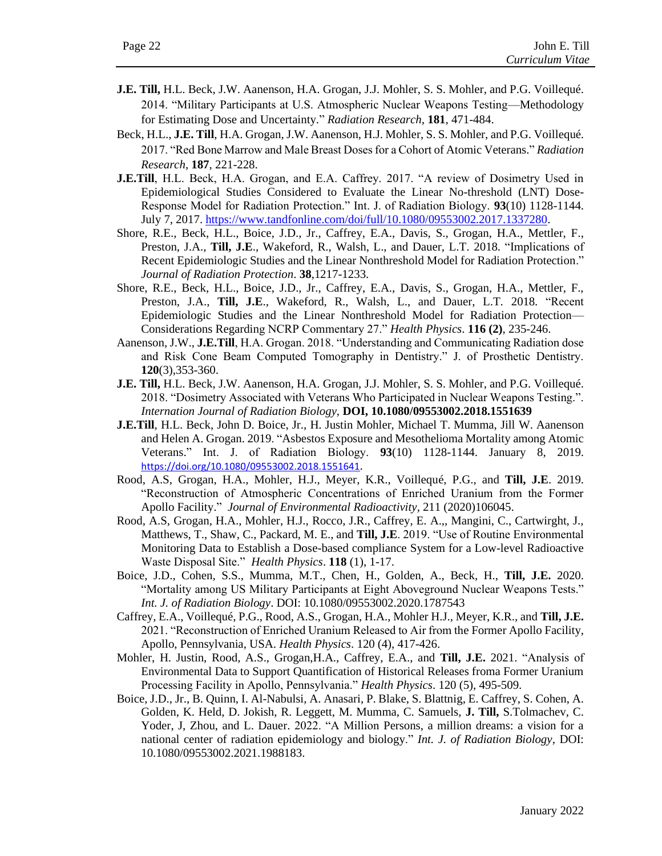- **J.E. Till,** H.L. Beck, J.W. Aanenson, H.A. Grogan, J.J. Mohler, S. S. Mohler, and P.G. Voillequé. 2014. "Military Participants at U.S. Atmospheric Nuclear Weapons Testing—Methodology for Estimating Dose and Uncertainty." *Radiation Research*, **181**, 471-484.
- Beck, H.L., **J.E. Till**, H.A. Grogan, J.W. Aanenson, H.J. Mohler, S. S. Mohler, and P.G. Voillequé. 2017. "Red Bone Marrow and Male Breast Doses for a Cohort of Atomic Veterans." *Radiation Research*, **187**, 221-228.
- **J.E.Till**, H.L. Beck, H.A. Grogan, and E.A. Caffrey. 2017. "A review of Dosimetry Used in Epidemiological Studies Considered to Evaluate the Linear No-threshold (LNT) Dose-Response Model for Radiation Protection." Int. J. of Radiation Biology. **93**(10) 1128-1144. July 7, 2017. [https://www.tandfonline.com/doi/full/10.1080/09553002.2017.1337280.](https://www.tandfonline.com/doi/full/10.1080/09553002.2017.1337280)
- Shore, R.E., Beck, H.L., Boice, J.D., Jr., Caffrey, E.A., Davis, S., Grogan, H.A., Mettler, F., Preston, J.A., **Till, J.E**., Wakeford, R., Walsh, L., and Dauer, L.T. 2018. "Implications of Recent Epidemiologic Studies and the Linear Nonthreshold Model for Radiation Protection." *Journal of Radiation Protection*. **38**,1217-1233.
- Shore, R.E., Beck, H.L., Boice, J.D., Jr., Caffrey, E.A., Davis, S., Grogan, H.A., Mettler, F., Preston, J.A., **Till, J.E**., Wakeford, R., Walsh, L., and Dauer, L.T. 2018. "Recent Epidemiologic Studies and the Linear Nonthreshold Model for Radiation Protection— Considerations Regarding NCRP Commentary 27." *Health Physics*. **116 (2)**, 235-246.
- Aanenson, J.W., **J.E.Till**, H.A. Grogan. 2018. "Understanding and Communicating Radiation dose and Risk Cone Beam Computed Tomography in Dentistry." J. of Prosthetic Dentistry. **120**(3),353-360.
- **J.E. Till,** H.L. Beck, J.W. Aanenson, H.A. Grogan, J.J. Mohler, S. S. Mohler, and P.G. Voillequé. 2018. "Dosimetry Associated with Veterans Who Participated in Nuclear Weapons Testing.". *Internation Journal of Radiation Biology,* **DOI, 10.1080/09553002.2018.1551639**
- **J.E.Till**, H.L. Beck, John D. Boice, Jr., H. Justin Mohler, Michael T. Mumma, Jill W. Aanenson and Helen A. Grogan. 2019. "Asbestos Exposure and Mesothelioma Mortality among Atomic Veterans." Int. J. of Radiation Biology. **93**(10) 1128-1144. January 8, 2019. <https://doi.org/10.1080/09553002.2018.1551641>.
- Rood, A.S, Grogan, H.A., Mohler, H.J., Meyer, K.R., Voillequé, P.G., and **Till, J.E**. 2019. "Reconstruction of Atmospheric Concentrations of Enriched Uranium from the Former Apollo Facility." *Journal of Environmental Radioactivity*, 211 (2020)106045.
- Rood, A.S, Grogan, H.A., Mohler, H.J., Rocco, J.R., Caffrey, E. A.,, Mangini, C., Cartwirght, J., Matthews, T., Shaw, C., Packard, M. E., and **Till, J.E**. 2019. "Use of Routine Environmental Monitoring Data to Establish a Dose-based compliance System for a Low-level Radioactive Waste Disposal Site." *Health Physics*. **118** (1), 1-17.
- Boice, J.D., Cohen, S.S., Mumma, M.T., Chen, H., Golden, A., Beck, H., **Till, J.E.** 2020. "Mortality among US Military Participants at Eight Aboveground Nuclear Weapons Tests." *Int. J. of Radiation Biology*. DOI: 10.1080/09553002.2020.1787543
- Caffrey, E.A., Voillequé, P.G., Rood, A.S., Grogan, H.A., Mohler H.J., Meyer, K.R., and **Till, J.E.** 2021. "Reconstruction of Enriched Uranium Released to Air from the Former Apollo Facility, Apollo, Pennsylvania, USA. *Health Physics*. 120 (4), 417-426.
- Mohler, H. Justin, Rood, A.S., Grogan,H.A., Caffrey, E.A., and **Till, J.E.** 2021. "Analysis of Environmental Data to Support Quantification of Historical Releases froma Former Uranium Processing Facility in Apollo, Pennsylvania." *Health Physics*. 120 (5), 495-509.
- Boice, J.D., Jr., B. Quinn, I. Al-Nabulsi, A. Anasari, P. Blake, S. Blattnig, E. Caffrey, S. Cohen, A. Golden, K. Held, D. Jokish, R. Leggett, M. Mumma, C. Samuels, **J. Till,** S.Tolmachev, C. Yoder, J, Zhou, and L. Dauer. 2022. "A Million Persons, a million dreams: a vision for a national center of radiation epidemiology and biology." *Int. J. of Radiation Biology*, DOI: 10.1080/09553002.2021.1988183.